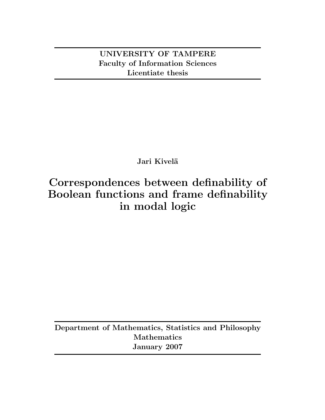**UNIVERSITY OF TAMPERE Faculty of Information Sciences Licentiate thesis**

# Jari Kivelä

# **Correspondences between definability of Boolean functions and frame definability in modal logic**

**Department of Mathematics, Statistics and Philosophy Mathematics January 2007**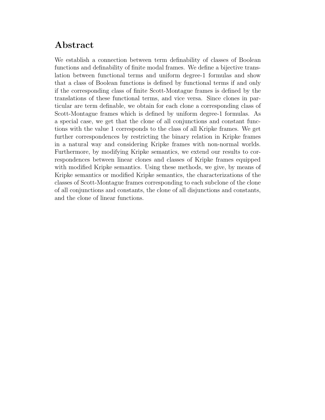# **Abstract**

We establish a connection between term definability of classes of Boolean functions and definability of finite modal frames. We define a bijective translation between functional terms and uniform degree-1 formulas and show that a class of Boolean functions is defined by functional terms if and only if the corresponding class of finite Scott-Montague frames is defined by the translations of these functional terms, and vice versa. Since clones in particular are term definable, we obtain for each clone a corresponding class of Scott-Montague frames which is defined by uniform degree-1 formulas. As a special case, we get that the clone of all conjunctions and constant functions with the value 1 corresponds to the class of all Kripke frames. We get further correspondences by restricting the binary relation in Kripke frames in a natural way and considering Kripke frames with non-normal worlds. Furthermore, by modifying Kripke semantics, we extend our results to correspondences between linear clones and classes of Kripke frames equipped with modified Kripke semantics. Using these methods, we give, by means of Kripke semantics or modified Kripke semantics, the characterizations of the classes of Scott-Montague frames corresponding to each subclone of the clone of all conjunctions and constants, the clone of all disjunctions and constants, and the clone of linear functions.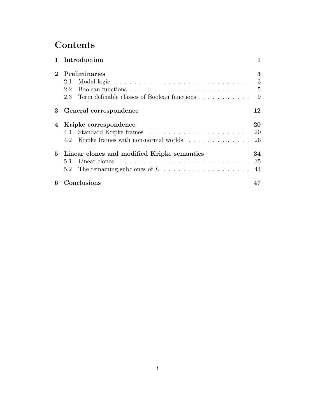# **Contents**

|             | 1 Introduction                                  |                |
|-------------|-------------------------------------------------|----------------|
| $2^{\circ}$ | Preliminaries                                   | 3              |
|             | 2.1                                             | 3              |
|             | 2.2                                             | $\overline{5}$ |
|             | 2.3 Term definable classes of Boolean functions | 9              |
| 3           | General correspondence                          | 12             |
|             | 4 Kripke correspondence                         | 20             |
|             |                                                 | 20             |
|             | 4.2 Kripke frames with non-normal worlds        | 26             |
|             | 5 Linear clones and modified Kripke semantics   | 34             |
|             | 5.1                                             | 35             |
|             |                                                 | 44             |
| 6           | Conclusions                                     |                |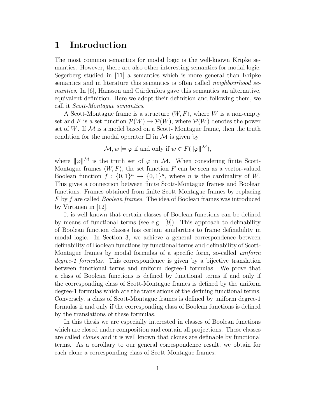### **1 Introduction**

The most common semantics for modal logic is the well-known Kripke semantics. However, there are also other interesting semantics for modal logic. Segerberg studied in [11] a semantics which is more general than Kripke semantics and in literature this semantics is often called *neighbourhood semantics*. In [6], Hansson and Gärdenfors gave this semantics an alternative, equivalent definition. Here we adopt their definition and following them, we call it *Scott-Montague semantics*.

A Scott-Montague frame is a structure  $\langle W, F \rangle$ , where W is a non-empty set and F is a set function  $\mathcal{P}(W) \to \mathcal{P}(W)$ , where  $\mathcal{P}(W)$  denotes the power set of W. If  $\mathcal M$  is a model based on a Scott-Montague frame, then the truth condition for the modal operator  $\Box$  in M is given by

$$
\mathcal{M}, w \models \varphi
$$
 if and only if  $w \in F(||\varphi||^{\mathcal{M}})$ ,

where  $\|\varphi\|^{\mathcal{M}}$  is the truth set of  $\varphi$  in M. When considering finite Scott-Montague frames  $\langle W, F \rangle$ , the set function F can be seen as a vector-valued Boolean function  $f: \{0,1\}^n \to \{0,1\}^n$ , where n is the cardinality of W. This gives a connection between finite Scott-Montague frames and Boolean functions. Frames obtained from finite Scott-Montague frames by replacing F by f are called *Boolean frames*. The idea of Boolean frames was introduced by Virtanen in [12].

It is well known that certain classes of Boolean functions can be defined by means of functional terms (see e.g. [9]). This approach to definability of Boolean function classes has certain similarities to frame definability in modal logic. In Section 3, we achieve a general correspondence between definability of Boolean functions by functional terms and definability of Scott-Montague frames by modal formulas of a specific form, so-called *uniform degree-1 formulas*. This correspondence is given by a bijective translation between functional terms and uniform degree-1 formulas. We prove that a class of Boolean functions is defined by functional terms if and only if the corresponding class of Scott-Montague frames is defined by the uniform degree-1 formulas which are the translations of the defining functional terms. Conversely, a class of Scott-Montague frames is defined by uniform degree-1 formulas if and only if the corresponding class of Boolean functions is defined by the translations of these formulas.

In this thesis we are especially interested in classes of Boolean functions which are closed under composition and contain all projections. These classes are called *clones* and it is well known that clones are definable by functional terms. As a corollary to our general correspondence result, we obtain for each clone a corresponding class of Scott-Montague frames.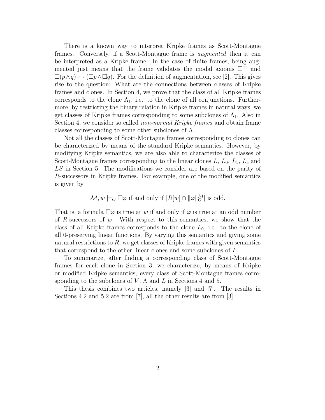There is a known way to interpret Kripke frames as Scott-Montague frames. Conversely, if a Scott-Montague frame is *augmented* then it can be interpreted as a Kripke frame. In the case of finite frames, being augmented just means that the frame validates the modal axioms  $\Box\top$  and  $\Box(p\land q)\leftrightarrow (\Box p\land \Box q)$ . For the definition of augmentation, see [2]. This gives rise to the question: What are the connections between classes of Kripke frames and clones. In Section 4, we prove that the class of all Kripke frames corresponds to the clone  $\Lambda_1$ , i.e. to the clone of all conjunctions. Furthermore, by restricting the binary relation in Kripke frames in natural ways, we get classes of Kripke frames corresponding to some subclones of  $\Lambda_1$ . Also in Section 4, we consider so called *non-normal Kripke frames* and obtain frame classes corresponding to some other subclones of Λ.

Not all the classes of Scott-Montague frames corresponding to clones can be characterized by means of the standard Kripke semantics. However, by modifying Kripke semantics, we are also able to characterize the classes of Scott-Montague frames corresponding to the linear clones L,  $L_0$ ,  $L_1$ ,  $L_c$  and LS in Section 5. The modifications we consider are based on the parity of R-successors in Kripke frames. For example, one of the modified semantics is given by

$$
\mathcal{M}, w \models_O \Box \varphi \text{ if and only if } |R[w] \cap ||\varphi||_O^{\mathcal{M}} \text{ is odd.}
$$

That is, a formula  $\square \varphi$  is true at w if and only if  $\varphi$  is true at an odd number of R-successors of w. With respect to this semantics, we show that the class of all Kripke frames corresponds to the clone  $L_0$ , i.e. to the clone of all 0-preserving linear functions. By varying this semantics and giving some natural restrictions to  $R$ , we get classes of Kripke frames with given semantics that correspond to the other linear clones and some subclones of L.

To summarize, after finding a corresponding class of Scott-Montague frames for each clone in Section 3, we characterize, by means of Kripke or modified Kripke semantics, every class of Scott-Montague frames corresponding to the subclones of  $V$ ,  $\Lambda$  and  $L$  in Sections 4 and 5.

This thesis combines two articles, namely [3] and [7]. The results in Sections 4.2 and 5.2 are from [7], all the other results are from [3].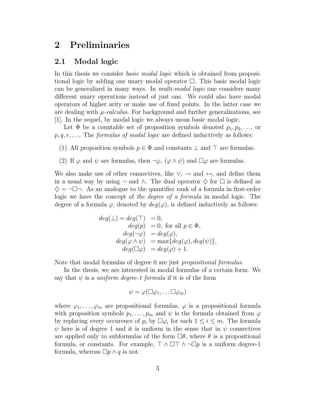### **2 Preliminaries**

#### **2.1 Modal logic**

In this thesis we consider *basic modal logic* which is obtained from propositional logic by adding one unary modal operator  $\Box$ . This basic modal logic can be generalized in many ways. In *multi-modal logic* one considers many different unary operations instead of just one. We could also have modal operators of higher arity or make use of fixed points. In the latter case we are dealing with  $\mu$ -calculus. For background and further generalizations, see [1]. In the sequel, by modal logic we always mean basic modal logic.

Let  $\Phi$  be a countable set of proposition symbols denoted  $p_1, p_2, \ldots$ , or p, q, r, . . .. The *formulas of modal logic* are defined inductively as follows:

- (1) All proposition symbols  $p \in \Phi$  and constants  $\perp$  and  $\top$  are formulas.
- (2) If  $\varphi$  and  $\psi$  are formulas, then  $\neg \varphi$ ,  $(\varphi \wedge \psi)$  and  $\Box \varphi$  are formulas.

We also make use of other connectives, like  $\vee$ ,  $\rightarrow$  and  $\leftrightarrow$ , and define them in a usual way by using  $\neg$  and  $\wedge$ . The dual operator  $\diamondsuit$  for  $\square$  is defined as  $\diamondsuit = \neg \Box \neg$ . As an analogue to the quantifier rank of a formula in first-order logic we have the concept of *the degree of a formula* in modal logic. The degree of a formula  $\varphi$ , denoted by  $deg(\varphi)$ , is defined inductively as follows:

$$
deg(\bot) = deg(\top) = 0,
$$
  
\n
$$
deg(p) = 0, \text{ for all } p \in \Phi,
$$
  
\n
$$
deg(\neg \varphi) = deg(\varphi),
$$
  
\n
$$
deg(\varphi \wedge \psi) = \max\{deg(\varphi), deg(\psi)\},
$$
  
\n
$$
deg(\square \varphi) = deg(\varphi) + 1.
$$

Note that modal formulas of degree 0 are just *propositional formulas*.

In the thesis, we are interested in modal formulas of a certain form. We say that  $\psi$  is a *uniform degree-1 formula* if it is of the form

$$
\psi = \varphi(\Box \varphi_1, \ldots \Box \varphi_m)
$$

where  $\varphi_1,\ldots,\varphi_m$  are propositional formulas,  $\varphi$  is a propositional formula with proposition symbols  $p_1, \ldots, p_m$  and  $\psi$  is the formula obtained from  $\varphi$ by replacing every occurence of  $p_i$  by  $\Box \varphi_i$  for each  $1 \leq i \leq m$ . The formula  $\psi$  here is of degree 1 and it is uniform in the sense that in  $\psi$  connectives are applied only to subformulas of the form  $\Box \theta$ , where  $\theta$  is a propositional formula, or constants. For example,  $\top \wedge \square \top \wedge \neg \square p$  is a uniform degree-1 formula, whereas  $\Box p \wedge q$  is not.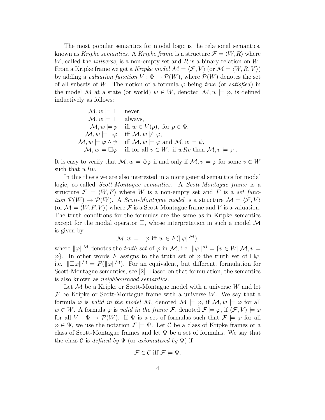The most popular semantics for modal logic is the relational semantics, known as *Kripke semantics*. A *Kripke frame* is a structure  $\mathcal{F} = \langle W, R \rangle$  where W, called the *universe*, is a non-empty set and R is a binary relation on W. From a Kripke frame we get a *Kripke model*  $\mathcal{M} = \langle \mathcal{F}, V \rangle$  (or  $\mathcal{M} = \langle W, R, V \rangle$ ) by adding a *valuation function*  $V : \Phi \to \mathcal{P}(W)$ , where  $\mathcal{P}(W)$  denotes the set of all subsets of W. The notion of a formula  $\varphi$  being *true* (or *satisfied*) in the model M at a state (or world)  $w \in W$ , denoted  $\mathcal{M}, w \models \varphi$ , is defined inductively as follows:

$$
\mathcal{M}, w \models \bot \quad \text{never},\n\mathcal{M}, w \models \top \quad \text{always},\n\mathcal{M}, w \models p \quad \text{iff } w \in V(p), \text{ for } p \in \Phi,\n\mathcal{M}, w \models \neg \varphi \quad \text{iff } \mathcal{M}, w \not\models \varphi,\n\mathcal{M}, w \models \varphi \land \psi \quad \text{iff } \mathcal{M}, w \models \varphi \text{ and } \mathcal{M}, w \models \psi,\n\mathcal{M}, w \models \Box \varphi \quad \text{iff for all } v \in W: \text{if } wRv \text{ then } \mathcal{M}, v \models \varphi.
$$

It is easy to verify that  $\mathcal{M}, w \models \Diamond \varphi$  if and only if  $\mathcal{M}, v \models \varphi$  for some  $v \in W$ such that  $wRv$ .

In this thesis we are also interested in a more general semantics for modal logic, so-called *Scott-Montague semantics*. A *Scott-Montague frame* is a structure  $\mathcal{F} = \langle W, F \rangle$  where W is a non-empty set and F is a *set function*  $\mathcal{P}(W) \to \mathcal{P}(W)$ . A *Scott-Montague model* is a structure  $\mathcal{M} = \langle \mathcal{F}, V \rangle$ (or  $\mathcal{M} = \langle W, F, V \rangle$ ) where  $\mathcal F$  is a Scott-Montague frame and V is a valuation. The truth conditions for the formulas are the same as in Kripke semantics except for the modal operator  $\Box$ , whose interpretation in such a model M is given by

$$
\mathcal{M}, w \models \Box \varphi \text{ iff } w \in F(\|\varphi\|^{M}),
$$

where  $\|\varphi\|^{\mathcal{M}}$  denotes the *truth set* of  $\varphi$  in M, i.e.  $\|\varphi\|^{\mathcal{M}} = \{v \in W | \mathcal{M}, v \models$  $\varphi$ . In other words F assigns to the truth set of  $\varphi$  the truth set of  $\Box \varphi$ , i.e.  $\|\Box \varphi\|^{\mathcal{M}} = F(\|\varphi\|^{\mathcal{M}})$ . For an equivalent, but different, formulation for Scott-Montague semantics, see [2]. Based on that formulation, the semantics is also known as *neighbourhood semantics*.

Let  $M$  be a Kripke or Scott-Montague model with a universe  $W$  and let  $\mathcal F$  be Kripke or Scott-Montague frame with a universe W. We say that a formula  $\varphi$  is *valid in the model* M, denoted  $\mathcal{M} \models \varphi$ , if  $\mathcal{M}, w \models \varphi$  for all  $w \in W$ . A formula  $\varphi$  is *valid in the frame*  $\mathcal{F}$ , denoted  $\mathcal{F} \models \varphi$ , if  $\langle \mathcal{F}, V \rangle \models \varphi$ for all  $V : \Phi \to \mathcal{P}(W)$ . If  $\Psi$  is a set of formulas such that  $\mathcal{F} \models \varphi$  for all  $\varphi \in \Psi$ , we use the notation  $\mathcal{F} \models \Psi$ . Let C be a class of Kripke frames or a class of Scott-Montague frames and let  $\Psi$  be a set of formulas. We say that the class  $\mathcal C$  is *defined by*  $\Psi$  (or *axiomatized by*  $\Psi$ ) if

$$
\mathcal{F} \in \mathcal{C} \text{ iff } \mathcal{F} \models \Psi.
$$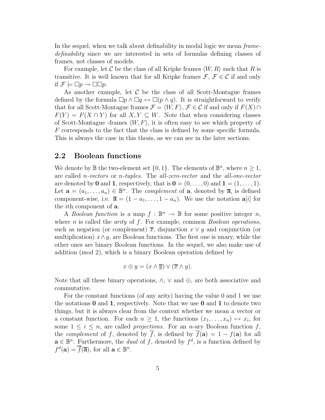In the sequel, when we talk about definability in modal logic we mean *framedefinability* since we are interested in sets of formulas defining classes of frames, not classes of models.

For example, let C be the class of all Kripke frames  $\langle W, R \rangle$  such that R is transitive. It is well known that for all Kripke frames  $\mathcal{F}, \mathcal{F} \in \mathcal{C}$  if and only if  $\mathcal{F} \models \Box p \rightarrow \Box \Box p$ .

As another example, let  $\mathcal C$  be the class of all Scott-Montague frames defined by the formula  $\Box p \land \Box q \leftrightarrow \Box (p \land q)$ . It is straightforward to verify that for all Scott-Montague frames  $\mathcal{F} = \langle W, F \rangle$ ,  $\mathcal{F} \in \mathcal{C}$  if and only if  $F(X) \cap$  $F(Y) = F(X \cap Y)$  for all  $X, Y \subseteq W$ . Note that when considering classes of Scott-Montague -frames  $\langle W, F \rangle$ , it is often easy to see which property of F corresponds to the fact that the class is defined by some specific formula. This is always the case in this thesis, as we can see in the later sections.

### **2.2 Boolean functions**

We denote by  $\mathbb B$  the two-element set  $\{0,1\}$ . The elements of  $\mathbb B^n$ , where  $n\geq 1$ , are called n*-vectors* or n*-tuples*. The *all-zero-vector* and the *all-one-vector* are denoted by **0** and **1**, respectively, that is  $\mathbf{0} = (0, \ldots, 0)$  and  $\mathbf{1} = (1, \ldots, 1)$ . Let  $\mathbf{a} = (a_1, \ldots, a_n) \in \mathbb{B}^n$ . The *complement* of **a**, denoted by  $\overline{\mathbf{a}}$ , is defined component-wise, i.e.  $\overline{\mathbf{a}} = (1 - a_1, \ldots, 1 - a_n)$ . We use the notation  $\mathbf{a}[i]$  for the ith component of **a**.

A *Boolean function* is a map  $f : \mathbb{B}^n \to \mathbb{B}$  for some positive integer n, where n is called the *arity* of f. For example, common *Boolean operations*, such as negation (or complement)  $\overline{x}$ , disjunction  $x \vee y$  and conjunction (or multiplication)  $x \wedge y$ , are Boolean functions. The first one is unary, while the other ones are binary Boolean functions. In the sequel, we also make use of addition (mod 2), which is a binary Boolean operation defined by

$$
x \oplus y = (x \wedge \overline{y}) \vee (\overline{x} \wedge y).
$$

Note that all these binary operations,  $\wedge$ ,  $\vee$  and  $\oplus$ , are both associative and commutative.

For the constant functions (of any arity) having the value 0 and 1 we use the notations **0** and **1**, respectively. Note that we use **0** and **1** to denote two things, but it is always clear from the context whether we mean a vector or a constant function. For each  $n \geq 1$ , the functions  $(x_1, \ldots, x_n) \mapsto x_i$ , for some  $1 \leq i \leq n$ , are called *projections*. For an *n*-ary Boolean function f, the *complement* of f, denoted by  $\overline{f}$ , is defined by  $\overline{f}(\mathbf{a})=1 - f(\mathbf{a})$  for all  $\mathbf{a} \in \mathbb{B}^n$ . Furthermore, the *dual* of f, denoted by  $f^d$ , is a function defined by  $f^d(\mathbf{a}) = \overline{f}(\overline{\mathbf{a}})$ , for all  $\mathbf{a} \in \mathbb{B}^n$ .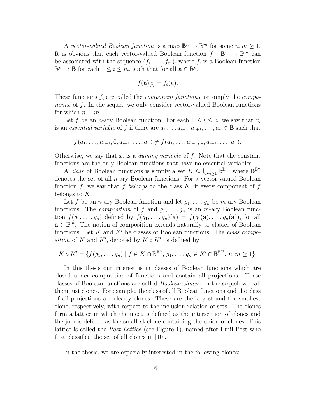A *vector-valued Boolean function* is a map  $\mathbb{B}^n \to \mathbb{B}^m$  for some  $n, m \geq 1$ . It is obvious that each vector-valued Boolean function  $f : \mathbb{B}^n \to \mathbb{B}^m$  can be associated with the sequence  $(f_1, \ldots, f_m)$ , where  $f_i$  is a Boolean function  $\mathbb{B}^n \to \mathbb{B}$  for each  $1 \leq i \leq m$ , such that for all  $\mathbf{a} \in \mathbb{B}^n$ ,

$$
f(\mathbf{a})[i] = f_i(\mathbf{a}).
$$

These functions f<sup>i</sup> are called the *component functions*, or simply the *components*, of f. In the sequel, we only consider vector-valued Boolean functions for which  $n = m$ .

Let f be an *n*-ary Boolean function. For each  $1 \leq i \leq n$ , we say that  $x_i$ is an *essential variable* of f if there are  $a_1, \ldots, a_{i-1}, a_{i+1}, \ldots, a_n \in \mathbb{B}$  such that

 $f(a_1,\ldots,a_{i-1},0,a_{i+1},\ldots,a_n) \neq f(a_1,\ldots,a_{i-1},1,a_{i+1},\ldots,a_n).$ 

Otherwise, we say that  $x_i$  is a *dummy variable* of f. Note that the constant functions are the only Boolean functions that have no essential variables.

A *class* of Boolean functions is simply a set  $K \subseteq \bigcup_{n\geq 1} \mathbb{B}^{\mathbb{B}^n}$ , where  $\mathbb{B}^{\mathbb{B}^n}$ denotes the set of all *n*-ary Boolean functions. For a vector-valued Boolean function f, we say that f *belongs* to the class  $K$ , if every component of f belongs to K.

Let f be an *n*-ary Boolean function and let  $g_1, \ldots, g_n$  be *m*-ary Boolean functions. The *composition* of f and  $g_1, \ldots, g_n$  is an *m*-ary Boolean function  $f(g_1,...,g_n)$  defined by  $f(g_1,...,g_n)(\mathbf{a}) = f(g_1(\mathbf{a}),...,g_n(\mathbf{a}))$ , for all  $\mathbf{a} \in \mathbb{B}^m$ . The notion of composition extends naturally to classes of Boolean functions. Let K and K' be classes of Boolean functions. The *class composition* of K and K', denoted by  $K \circ K'$ , is defined by

$$
K \circ K' = \{ f(g_1, \ldots, g_n) \mid f \in K \cap \mathbb{B}^{\mathbb{B}^n}, g_1, \ldots, g_n \in K' \cap \mathbb{B}^{\mathbb{B}^m}, n, m \geq 1 \}.
$$

In this thesis our interest is in classes of Boolean functions which are closed under composition of functions and contain all projections. These classes of Boolean functions are called *Boolean clones*. In the sequel, we call them just clones. For example, the class of all Boolean functions and the class of all projections are clearly clones. These are the largest and the smallest clone, respectively, with respect to the inclusion relation of sets. The clones form a lattice in which the meet is defined as the intersection of clones and the join is defined as the smallest clone containing the union of clones. This lattice is called the *Post Lattice* (see Figure 1), named after Emil Post who first classified the set of all clones in [10].

In the thesis, we are especially interested in the following clones: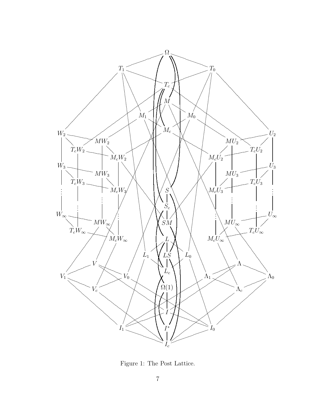

Figure 1: The Post Lattice.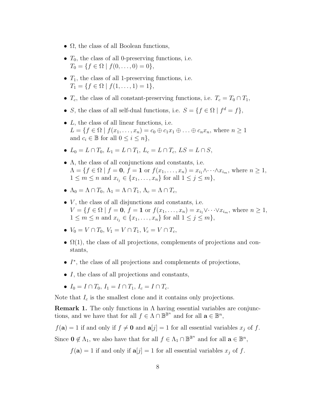- $\Omega$ , the class of all Boolean functions,
- $\bullet$   $\ T_0,$  the class of all 0-preserving functions, i.e.  $T_0 = \{f \in \Omega \mid f(0, \ldots, 0) = 0\},\$
- $T_1$ , the class of all 1-preserving functions, i.e.  $T_1 = \{f \in \Omega \mid f(1,\ldots,1) = 1\},\$
- $T_c$ , the class of all constant-preserving functions, i.e.  $T_c = T_0 \cap T_1$ ,
- S, the class of all self-dual functions, i.e.  $S = \{f \in \Omega \mid f^d = f\},\$
- $\bullet$  L, the class of all linear functions, i.e.  $L = \{f \in \Omega \mid f(x_1,\ldots,x_n) = c_0 \oplus c_1x_1 \oplus \ldots \oplus c_nx_n, \text{ where } n \geq 1\}$ and  $c_i \in \mathbb{B}$  for all  $0 \leq i \leq n$ ,
- $L_0 = L \cap T_0, L_1 = L \cap T_1, L_c = L \cap T_c, LS = L \cap S,$
- $\Lambda$ , the class of all conjunctions and constants, i.e.  $\Lambda = \{f \in \Omega \mid f = 0, f = 1 \text{ or } f(x_1, \ldots, x_n) = x_{i_1} \wedge \cdots \wedge x_{i_m}, \text{ where } n \geq 1,$  $1 \le m \le n$  and  $x_{i_j} \in \{x_1, \ldots, x_n\}$  for all  $1 \le j \le m\},$
- $\Lambda_0 = \Lambda \cap T_0$ ,  $\Lambda_1 = \Lambda \cap T_1$ ,  $\Lambda_c = \Lambda \cap T_c$ ,
- $\bullet$  V, the class of all disjunctions and constants, i.e.  $V = \{f \in \Omega \mid f = 0, f = 1 \text{ or } f(x_1, \ldots, x_n) = x_{i_1} \vee \cdots \vee x_{i_m}, \text{ where } n \geq 1,$  $1 \le m \le n$  and  $x_{i_j} \in \{x_1, ..., x_n\}$  for all  $1 \le j \le m\},$
- $V_0 = V \cap T_0$ ,  $V_1 = V \cap T_1$ ,  $V_c = V \cap T_c$ ,
- $\Omega(1)$ , the class of all projections, complements of projections and constants,
- I∗, the class of all projections and complements of projections,
- I, the class of all projections and constants,
- $I_0 = I \cap T_0$ ,  $I_1 = I \cap T_1$ ,  $I_c = I \cap T_c$ .

Note that  $I_c$  is the smallest clone and it contains only projections.

**Remark 1.** The only functions in Λ having essential variables are conjunctions, and we have that for all  $f \in \Lambda \cap \mathbb{B}^{\mathbb{B}^n}$  and for all  $\mathbf{a} \in \mathbb{B}^n$ ,

 $f(\mathbf{a}) = 1$  if and only if  $f \neq \mathbf{0}$  and  $\mathbf{a}[j] = 1$  for all essential variables  $x_j$  of f.

Since  $\mathbf{0} \notin \Lambda_1$ , we also have that for all  $f \in \Lambda_1 \cap \mathbb{B}^{\mathbb{B}^n}$  and for all  $\mathbf{a} \in \mathbb{B}^n$ ,

 $f(\mathbf{a}) = 1$  if and only if  $\mathbf{a}[j] = 1$  for all essential variables  $x_j$  of f.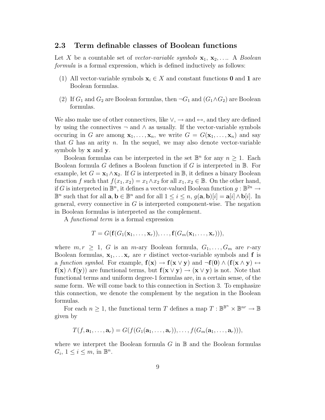#### **2.3 Term definable classes of Boolean functions**

Let X be a countable set of *vector-variable symbols*  $\mathbf{x}_1, \mathbf{x}_2, \ldots$  A *Boolean formula* is a formal expression, which is defined inductively as follows:

- (1) All vector-variable symbols  $\mathbf{x}_i \in X$  and constant functions **0** and **1** are Boolean formulas.
- (2) If  $G_1$  and  $G_2$  are Boolean formulas, then  $\neg G_1$  and  $(G_1 \wedge G_2)$  are Boolean formulas.

We also make use of other connectives, like  $\vee$ ,  $\rightarrow$  and  $\leftrightarrow$ , and they are defined by using the connectives  $\neg$  and  $\wedge$  as usually. If the vector-variable symbols occuring in G are among  $\mathbf{x}_1, \ldots, \mathbf{x}_n$ , we write  $G = G(\mathbf{x}_1, \ldots, \mathbf{x}_n)$  and say that  $G$  has an arity  $n$ . In the sequel, we may also denote vector-variable symbols by **x** and **y**.

Boolean formulas can be interpreted in the set  $\mathbb{B}^n$  for any  $n \geq 1$ . Each Boolean formula G defines a Boolean function if G is interpreted in  $\mathbb{B}$ . For example, let  $G = \mathbf{x}_1 \wedge \mathbf{x}_2$ . If G is interpreted in B, it defines a binary Boolean function f such that  $f(x_1, x_2) = x_1 \wedge x_2$  for all  $x_1, x_2 \in \mathbb{B}$ . On the other hand, if G is interpreted in  $\mathbb{B}^n$ , it defines a vector-valued Boolean function  $q : \mathbb{B}^{2n} \to$  $\mathbb{B}^n$  such that for all  $\mathbf{a}, \mathbf{b} \in \mathbb{B}^n$  and for all  $1 \leq i \leq n$ ,  $q(\mathbf{a}, \mathbf{b})[i] = \mathbf{a}[i] \wedge \mathbf{b}[i]$ . In general, every connective in  $G$  is interpreted component-wise. The negation in Boolean formulas is interpreted as the complement.

A *functional term* is a formal expression

$$
T = G(\mathbf{f}(G_1(\mathbf{x}_1,\ldots,\mathbf{x}_r)),\ldots,\mathbf{f}(G_m(\mathbf{x}_1,\ldots,\mathbf{x}_r))),
$$

where  $m, r \geq 1$ , G is an m-ary Boolean formula,  $G_1, \ldots, G_m$  are r-ary Boolean formulas,  $\mathbf{x}_1, \ldots, \mathbf{x}_r$  are r distinct vector-variable symbols and **f** is a *function symbol.* For example,  $f(x) \rightarrow f(x \vee y)$  and  $\neg f(0) \wedge (f(x \wedge y) \leftrightarrow f(y))$ **f**(**x**) ∧ **f**(**y**)) are functional terms, but  $f(x \lor y) \rightarrow (x \lor y)$  is not. Note that functional terms and uniform degree-1 formulas are, in a certain sense, of the same form. We will come back to this connection in Section 3. To emphasize this connection, we denote the complement by the negation in the Boolean formulas.

For each  $n \geq 1$ , the functional term T defines a map  $T : \mathbb{B}^{\mathbb{B}^n} \times \mathbb{B}^{nr} \to \mathbb{B}$ given by

$$
T(f, \mathbf{a}_1, \ldots, \mathbf{a}_r) = G(f(G_1(\mathbf{a}_1, \ldots, \mathbf{a}_r)), \ldots, f(G_m(\mathbf{a}_1, \ldots, \mathbf{a}_r))),
$$

where we interpret the Boolean formula  $G$  in  $\mathbb B$  and the Boolean formulas  $G_i, 1 \leq i \leq m$ , in  $\mathbb{B}^n$ .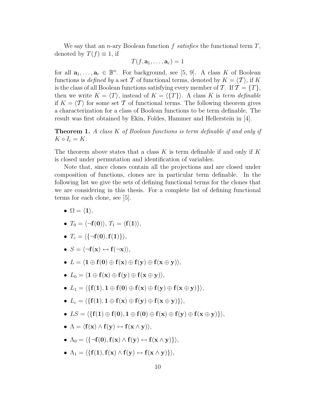We say that an n-ary Boolean function f *satisfies* the functional term T, denoted by  $T(f) \equiv 1$ , if

$$
T(f, \mathbf{a}_1, \ldots, \mathbf{a}_r) = 1
$$

for all  $\mathbf{a}_1, \ldots, \mathbf{a}_r \in \mathbb{B}^n$ . For background, see [5, 9]. A class K of Boolean functions is *defined by* a set T of functional terms, denoted by  $K = \langle T \rangle$ , if K is the class of all Boolean functions satisfying every member of  $\mathcal{T}$ . If  $\mathcal{T} = \{T\}$ , then we write  $K = \langle T \rangle$ , instead of  $K = \langle T \rangle$ . A class K is *term definable* if  $K = \langle \mathcal{T} \rangle$  for some set  $\mathcal T$  of functional terms. The following theorem gives a characterization for a class of Boolean functions to be term definable. The result was first obtained by Ekin, Foldes, Hammer and Hellerstein in [4].

**Theorem 1.** *A class* K *of Boolean functions is term definable if and only if*  $K \circ I_c = K$ .

The theorem above states that a class K is term definable if and only if K is closed under permutation and identification of variables.

Note that, since clones contain all the projections and are closed under composition of functions, clones are in particular term definable. In the following list we give the sets of defining functional terms for the clones that we are considering in this thesis. For a complete list of defining functional terms for each clone, see [5].

- $\Omega = \langle 1 \rangle,$
- $T_0 = \langle \neg \mathbf{f}(\mathbf{0}) \rangle, T_1 = \langle \mathbf{f}(\mathbf{1}) \rangle,$
- $\bullet$   $T_c = \langle \{\neg \mathbf{f}(\mathbf{0}), \mathbf{f}(\mathbf{1})\} \rangle,$
- $\bullet$   $S = \langle \neg \mathbf{f}(\mathbf{x}) \leftrightarrow \mathbf{f}(\neg \mathbf{x}) \rangle,$
- L = **1** ⊕ **f**(**0**) ⊕ **f**(**x**) ⊕ **f**(**y**) ⊕ **f**(**x** ⊕ **y**)-,
- L<sup>0</sup> = **1** ⊕ **f**(**x**) ⊕ **f**(**y**) ⊕ **f**(**x** ⊕ **y**)-,
- L<sup>1</sup> = {**f**(**1**), **1** ⊕ **f**(**0**) ⊕ **f**(**x**) ⊕ **f**(**y**) ⊕ **f**(**x** ⊕ **y**)}-,
- $\bullet$   $L_c = \langle \{ \mathbf{f}(\mathbf{1}), \mathbf{1} \oplus \mathbf{f}(\mathbf{x}) \oplus \mathbf{f}(\mathbf{y}) \oplus \mathbf{f}(\mathbf{x} \oplus \mathbf{y}) \} \rangle,$
- LS = {**f**(**1**) ⊕ **f**(**0**), **1** ⊕ **f**(**0**) ⊕ **f**(**x**) ⊕ **f**(**y**) ⊕ **f**(**x** ⊕ **y**)}-,
- Λ = **f**(**x**) ∧ **f**(**y**) ↔ **f**(**x** ∧ **y**)-,
- $\bullet \ \Lambda_0 = \langle \{\neg \mathbf{f}(\mathbf{0}), \mathbf{f}(\mathbf{x}) \wedge \mathbf{f}(\mathbf{y}) \leftrightarrow \mathbf{f}(\mathbf{x} \wedge \mathbf{y})\} \rangle,$
- $\bullet$   $\Lambda_1 = \langle \{ \mathbf{f(1)}, \mathbf{f(x)} \land \mathbf{f(y)} \leftrightarrow \mathbf{f(x} \land \mathbf{y}) \} \rangle,$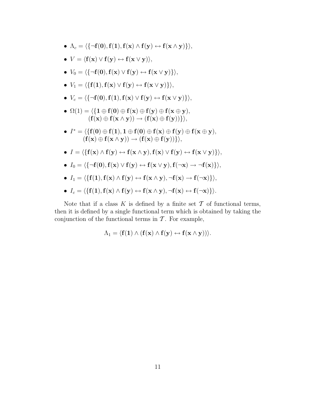- $\bullet \ \Lambda_c = \langle \{\neg \mathbf{f}(\mathbf{0}), \mathbf{f}(\mathbf{1}), \mathbf{f}(\mathbf{x}) \wedge \mathbf{f}(\mathbf{y}) \leftrightarrow \mathbf{f}(\mathbf{x} \wedge \mathbf{y}) \} \rangle,$
- V = **f**(**x**) ∨ **f**(**y**) ↔ **f**(**x** ∨ **y**)-,
- $\bullet$   $V_0 = \langle \{\neg \mathbf{f}(\mathbf{0}), \mathbf{f}(\mathbf{x}) \vee \mathbf{f}(\mathbf{y}) \leftrightarrow \mathbf{f}(\mathbf{x} \vee \mathbf{y}) \} \rangle,$
- V<sup>1</sup> = {**f**(**1**),**f**(**x**) ∨ **f**(**y**) ↔ **f**(**x** ∨ **y**)}-,
- $\bullet \ \ V_c = \langle \{\neg \mathbf{f}(\mathbf{0}), \mathbf{f}(\mathbf{1}), \mathbf{f}(\mathbf{x}) \vee \mathbf{f}(\mathbf{y}) \leftrightarrow \mathbf{f}(\mathbf{x} \vee \mathbf{y}) \} \rangle,$
- Ω(1) = {**1** ⊕ **f**(**0**) ⊕ **f**(**x**) ⊕ **f**(**y**) ⊕ **f**(**x** ⊕ **y**),  $(f(x) \oplus f(x \wedge y)) \rightarrow (f(x) \oplus f(y))\},$
- I<sup>∗</sup> = {**f**(**0**) ⊕ **f**(**1**), **1** ⊕ **f**(**0**) ⊕ **f**(**x**) ⊕ **f**(**y**) ⊕ **f**(**x** ⊕ **y**),  $(f(x) \oplus f(x \wedge y)) \rightarrow (f(x) \oplus f(y))\},$
- I = {**f**(**x**) ∧ **f**(**y**) ↔ **f**(**x** ∧ **y**),**f**(**x**) ∨ **f**(**y**) ↔ **f**(**x** ∨ **y**)}-,
- $\bullet$   $I_0 = \langle \{\neg \mathbf{f}(\mathbf{0}), \mathbf{f}(\mathbf{x}) \vee \mathbf{f}(\mathbf{y}) \leftrightarrow \mathbf{f}(\mathbf{x} \vee \mathbf{y}), \mathbf{f}(\neg \mathbf{x}) \rightarrow \neg \mathbf{f}(\mathbf{x}) \} \rangle,$
- $\bullet$   $I_1 = \langle \{ \mathbf{f}(\mathbf{1}), \mathbf{f}(\mathbf{x}) \wedge \mathbf{f}(\mathbf{y}) \leftrightarrow \mathbf{f}(\mathbf{x} \wedge \mathbf{y}), \neg \mathbf{f}(\mathbf{x}) \rightarrow \mathbf{f}(\neg \mathbf{x}) \} \rangle,$
- $\bullet$   $I_c = \langle \{ \mathbf{f}(\mathbf{1}), \mathbf{f}(\mathbf{x}) \wedge \mathbf{f}(\mathbf{y}) \leftrightarrow \mathbf{f}(\mathbf{x} \wedge \mathbf{y}), \neg \mathbf{f}(\mathbf{x}) \leftrightarrow \mathbf{f}(\neg \mathbf{x}) \} \rangle.$

Note that if a class K is defined by a finite set  $\mathcal T$  of functional terms, then it is defined by a single functional term which is obtained by taking the conjunction of the functional terms in  $\mathcal T$ . For example,

$$
\Lambda_1 = \langle \mathbf{f(1)} \wedge (\mathbf{f(x)} \wedge \mathbf{f(y)} \leftrightarrow \mathbf{f(x \wedge y)}) \rangle.
$$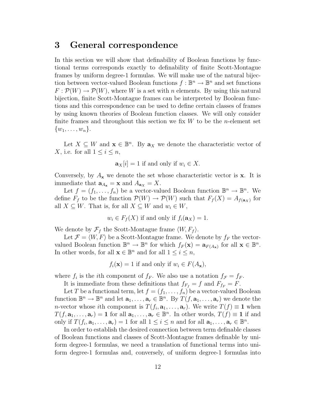### **3 General correspondence**

In this section we will show that definability of Boolean functions by functional terms corresponds exactly to definability of finite Scott-Montague frames by uniform degree-1 formulas. We will make use of the natural bijection between vector-valued Boolean functions  $f : \mathbb{B}^n \to \mathbb{B}^n$  and set functions  $F: \mathcal{P}(W) \to \mathcal{P}(W)$ , where W is a set with n elements. By using this natural bijection, finite Scott-Montague frames can be interpreted by Boolean functions and this correspondence can be used to define certain classes of frames by using known theories of Boolean function classes. We will only consider finite frames and throughout this section we fix  $W$  to be the *n*-element set  $\{w_1,\ldots,w_n\}.$ 

Let  $X \subseteq W$  and  $\mathbf{x} \in \mathbb{B}^n$ . By  $\mathbf{a}_X$  we denote the characteristic vector of X, i.e. for all  $1 \leq i \leq n$ ,

$$
\mathbf{a}_X[i] = 1 \text{ if and only if } w_i \in X.
$$

Conversely, by  $A_{\mathbf{x}}$  we denote the set whose characteristic vector is **x**. It is immediate that  $\mathbf{a}_{A_{\mathbf{x}}} = \mathbf{x}$  and  $A_{\mathbf{a}_{\mathbf{x}}} = X$ .

Let  $f = (f_1, \ldots, f_n)$  be a vector-valued Boolean function  $\mathbb{B}^n \to \mathbb{B}^n$ . We define  $F_f$  to be the function  $\mathcal{P}(W) \to \mathcal{P}(W)$  such that  $F_f(X) = A_{f(\mathbf{a}_X)}$  for all  $X \subseteq W$ . That is, for all  $X \subseteq W$  and  $w_i \in W$ ,

$$
w_i \in F_f(X)
$$
 if and only if  $f_i(\mathbf{a}_X) = 1$ .

We denote by  $\mathcal{F}_f$  the Scott-Montague frame  $\langle W, F_f \rangle$ .

Let  $\mathcal{F} = \langle W, F \rangle$  be a Scott-Montague frame. We denote by  $f_F$  the vectorvalued Boolean function  $\mathbb{B}^n \to \mathbb{B}^n$  for which  $f_F(\mathbf{x}) = \mathbf{a}_{F(A_{\mathbf{x}})}$  for all  $\mathbf{x} \in \mathbb{B}^n$ . In other words, for all  $\mathbf{x} \in \mathbb{B}^n$  and for all  $1 \leq i \leq n$ ,

$$
f_i(\mathbf{x}) = 1
$$
 if and only if  $w_i \in F(A_{\mathbf{x}})$ ,

where  $f_i$  is the *i*th component of  $f_F$ . We also use a notation  $f_{\mathcal{F}} = f_F$ .

It is immediate from these definitions that  $f_{F_f} = f$  and  $F_{f_F} = F$ .

Let T be a functional term, let  $f = (f_1, \ldots, f_n)$  be a vector-valued Boolean function  $\mathbb{B}^n \to \mathbb{B}^n$  and let  $\mathbf{a}_1, \ldots, \mathbf{a}_r \in \mathbb{B}^n$ . By  $T(f, \mathbf{a}_1, \ldots, \mathbf{a}_r)$  we denote the n-vector whose ith component is  $T(f_i, \mathbf{a}_1, \ldots, \mathbf{a}_r)$ . We write  $T(f) \equiv 1$  when  $T(f, \mathbf{a}_1, \ldots, \mathbf{a}_r) = \mathbf{1}$  for all  $\mathbf{a}_1, \ldots, \mathbf{a}_r \in \mathbb{B}^n$ . In other words,  $T(f) \equiv \mathbf{1}$  if and only if  $T(f_i, \mathbf{a}_1, \ldots, \mathbf{a}_r) = 1$  for all  $1 \leq i \leq n$  and for all  $\mathbf{a}_1, \ldots, \mathbf{a}_r \in \mathbb{B}^n$ .

In order to establish the desired connection between term definable classes of Boolean functions and classes of Scott-Montague frames definable by uniform degree-1 formulas, we need a translation of functional terms into uniform degree-1 formulas and, conversely, of uniform degree-1 formulas into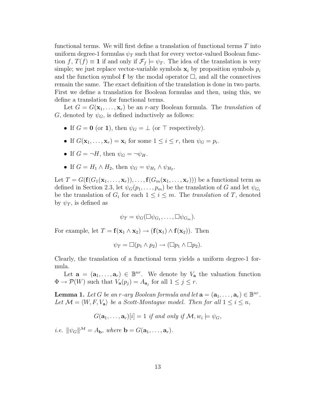functional terms. We will first define a translation of functional terms T into uniform degree-1 formulas  $\psi_T$  such that for every vector-valued Boolean function f,  $T(f) \equiv 1$  if and only if  $\mathcal{F}_f \models \psi_T$ . The idea of the translation is very simple; we just replace vector-variable symbols  $\mathbf{x}_i$  by proposition symbols  $p_i$ and the function symbol  $f$  by the modal operator  $\Box$ , and all the connectives remain the same. The exact definition of the translation is done in two parts. First we define a translation for Boolean formulas and then, using this, we define a translation for functional terms.

Let  $G = G(\mathbf{x}_1, \ldots, \mathbf{x}_r)$  be an *r*-ary Boolean formula. The *translation* of G, denoted by  $\psi_G$ , is defined inductively as follows:

- If  $G = 0$  (or 1), then  $\psi_G = \bot$  (or  $\top$  respectively).
- If  $G(\mathbf{x}_1,\ldots,\mathbf{x}_r) = \mathbf{x}_i$  for some  $1 \leq i \leq r$ , then  $\psi_G = p_i$ .
- If  $G = \neg H$ , then  $\psi_G = \neg \psi_H$ .
- If  $G = H_1 \wedge H_2$ , then  $\psi_G = \psi_H$ ,  $\wedge \psi_H$ .

Let  $T = G(\mathbf{f}(G_1(\mathbf{x}_1,\ldots,\mathbf{x}_r)),\ldots,\mathbf{f}(G_m(\mathbf{x}_1,\ldots,\mathbf{x}_r)))$  be a functional term as defined in Section 2.3, let  $\psi_G(p_1,\ldots,p_m)$  be the translation of G and let  $\psi_{G_i}$ be the translation of  $G_i$  for each  $1 \leq i \leq m$ . The *translation* of T, denoted by  $\psi_T$ , is defined as

$$
\psi_T = \psi_G(\Box \psi_{G_1}, \dots, \Box \psi_{G_m}).
$$

For example, let  $T = f(x_1 \wedge x_2) \rightarrow (f(x_1) \wedge f(x_2))$ . Then

$$
\psi_T = \Box(p_1 \land p_2) \to (\Box p_1 \land \Box p_2).
$$

Clearly, the translation of a functional term yields a uniform degree-1 formula.

Let  $\mathbf{a} = (\mathbf{a}_1, \ldots, \mathbf{a}_r) \in \mathbb{B}^{nr}$ . We denote by  $V_{\mathbf{a}}$  the valuation function  $\Phi \to \mathcal{P}(W)$  such that  $V_{\mathbf{a}}(p_j) = A_{\mathbf{a}_j}$  for all  $1 \leq j \leq r$ .

**Lemma 1.** Let G be an r-ary Boolean formula and let  $\mathbf{a} = (\mathbf{a}_1, \ldots, \mathbf{a}_r) \in \mathbb{B}^{nr}$ . Let  $\mathcal{M} = \langle W, F, V_a \rangle$  be a Scott-Montague model. Then for all  $1 \leq i \leq n$ ,

$$
G(\mathbf{a}_1,\ldots,\mathbf{a}_r)[i] = 1 \text{ if and only if } \mathcal{M}, w_i \models \psi_G,
$$

*i.e.*  $\|\psi_G\|^{\mathcal{M}} = A_{\mathbf{b}}$ *, where*  $\mathbf{b} = G(\mathbf{a}_1, \dots, \mathbf{a}_r)$ *.*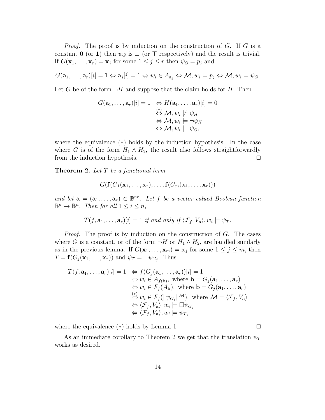*Proof.* The proof is by induction on the construction of G. If G is a constant **0** (or **1**) then  $\psi_G$  is  $\bot$  (or  $\top$  respectively) and the result is trivial. If  $G(\mathbf{x}_1,\ldots,\mathbf{x}_r) = \mathbf{x}_j$  for some  $1 \leq j \leq r$  then  $\psi_G = p_j$  and

$$
G(\mathbf{a}_1,\ldots,\mathbf{a}_r)[i]=1 \Leftrightarrow \mathbf{a}_j[i]=1 \Leftrightarrow w_i\in A_{\mathbf{a}_j} \Leftrightarrow \mathcal{M}, w_i\models p_j \Leftrightarrow \mathcal{M}, w_i\models \psi_G.
$$

Let G be of the form  $\neg H$  and suppose that the claim holds for H. Then

$$
G(\mathbf{a}_1, ..., \mathbf{a}_r)[i] = 1 \quad \Leftrightarrow H(\mathbf{a}_1, ..., \mathbf{a}_r)[i] = 0
$$
  
\n
$$
\stackrel{(*)}{\Leftrightarrow} \mathcal{M}, w_i \not\models \psi_H
$$
  
\n
$$
\Leftrightarrow \mathcal{M}, w_i \models \neg \psi_H
$$
  
\n
$$
\Leftrightarrow \mathcal{M}, w_i \models \psi_G,
$$

where the equivalence  $(*)$  holds by the induction hypothesis. In the case where G is of the form  $H_1 \wedge H_2$ , the result also follows straightforwardly from the induction hypothesis.

**Theorem 2.** *Let* T *be a functional term*

$$
G(\mathbf{f}(G_1(\mathbf{x}_1,\ldots,\mathbf{x}_r),\ldots,\mathbf{f}(G_m(\mathbf{x}_1,\ldots,\mathbf{x}_r)))
$$

*and let*  $\mathbf{a} = (\mathbf{a}_1, \dots, \mathbf{a}_r) \in \mathbb{B}^{nr}$ . Let f be a vector-valued Boolean function  $\mathbb{B}^n \to \mathbb{B}^n$ . Then for all  $1 \leq i \leq n$ ,

$$
T(f, \mathbf{a}_1, \ldots, \mathbf{a}_r)[i] = 1 \text{ if and only if } \langle \mathcal{F}_f, V_{\mathbf{a}} \rangle, w_i \models \psi_T.
$$

*Proof.* The proof is by induction on the construction of G. The cases where G is a constant, or of the form  $\neg H$  or  $H_1 \wedge H_2$ , are handled similarly as in the previous lemma. If  $G(\mathbf{x}_1,\ldots,\mathbf{x}_m) = \mathbf{x}_j$  for some  $1 \leq j \leq m$ , then  $T = \mathbf{f}(G_j(\mathbf{x}_1,\ldots,\mathbf{x}_r))$  and  $\psi_T = \Box \psi_{G_j}$ . Thus

$$
T(f, \mathbf{a}_1, ..., \mathbf{a}_r)[i] = 1 \Leftrightarrow f(G_j(\mathbf{a}_1, ..., \mathbf{a}_r))[i] = 1
$$
  
\n
$$
\Leftrightarrow w_i \in A_{f(\mathbf{b})}, \text{ where } \mathbf{b} = G_j(\mathbf{a}_1, ..., \mathbf{a}_r)
$$
  
\n
$$
\Leftrightarrow w_i \in F_f(A_{\mathbf{b}}), \text{ where } \mathbf{b} = G_j(\mathbf{a}_1, ..., \mathbf{a}_r)
$$
  
\n
$$
\Leftrightarrow w_i \in F_f(\|\psi_{G_j}\|)^M, \text{ where } \mathcal{M} = \langle \mathcal{F}_f, V_{\mathbf{a}} \rangle
$$
  
\n
$$
\Leftrightarrow \langle \mathcal{F}_f, V_{\mathbf{a}} \rangle, w_i \models \Box \psi_{G_j}
$$
  
\n
$$
\Leftrightarrow \langle \mathcal{F}_f, V_{\mathbf{a}} \rangle, w_i \models \psi_T,
$$

where the equivalence  $(*)$  holds by Lemma 1.

As an immediate corollary to Theorem 2 we get that the translation  $\psi_T$ works as desired.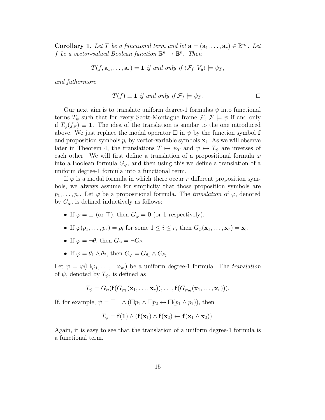**Corollary 1.** Let T be a functional term and let  $\mathbf{a} = (\mathbf{a}_1, \dots, \mathbf{a}_r) \in \mathbb{B}^{nr}$ . Let f *be a vector-valued Boolean function*  $\mathbb{B}^n \to \mathbb{B}^n$ . Then

$$
T(f, \mathbf{a}_1, \ldots, \mathbf{a}_r) = 1 \text{ if and only if } \langle \mathcal{F}_f, V_{\mathbf{a}} \rangle \models \psi_T,
$$

*and futhermore*

$$
T(f) \equiv 1 \text{ if and only if } \mathcal{F}_f \models \psi_T.
$$

Our next aim is to translate uniform degree-1 formulas  $\psi$  into functional terms  $T_{\psi}$  such that for every Scott-Montague frame  $\mathcal{F}, \mathcal{F} \models \psi$  if and only if  $T_{\psi}(f_{\mathcal{F}}) \equiv 1$ . The idea of the translation is similar to the one introduced above. We just replace the modal operator  $\Box$  in  $\psi$  by the function symbol **f** and proposition symbols  $p_i$  by vector-variable symbols  $\mathbf{x}_i$ . As we will observe later in Theorem 4, the translations  $T \mapsto \psi_T$  and  $\psi \mapsto T_{\psi}$  are inverses of each other. We will first define a translation of a propositional formula  $\varphi$ into a Boolean formula  $G_{\varphi}$ , and then using this we define a translation of a uniform degree-1 formula into a functional term.

If  $\varphi$  is a modal formula in which there occur r different proposition symbols, we always assume for simplicity that those proposition symbols are  $p_1,\ldots,p_r$ . Let  $\varphi$  be a propositional formula. The *translation* of  $\varphi$ , denoted by  $G_{\varphi}$ , is defined inductively as follows:

- If  $\varphi = \perp$  (or T), then  $G_{\varphi} = \mathbf{0}$  (or **1** respectively).
- If  $\varphi(p_1,\ldots,p_r) = p_i$  for some  $1 \leq i \leq r$ , then  $G_{\varphi}(\mathbf{x}_1,\ldots,\mathbf{x}_r) = \mathbf{x}_i$ .
- If  $\varphi = \neg \theta$ , then  $G_{\varphi} = \neg G_{\theta}$ .
- If  $\varphi = \theta_1 \wedge \theta_2$ , then  $G_{\varphi} = G_{\theta_1} \wedge G_{\theta_2}$ .

Let  $\psi = \varphi(\Box \varphi_1, \ldots, \Box \varphi_m)$  be a uniform degree-1 formula. The *translation* of  $\psi$ , denoted by  $T_{\psi}$ , is defined as

$$
T_{\psi}=G_{\varphi}(\mathbf{f}(G_{\varphi_1}(\mathbf{x}_1,\ldots,\mathbf{x}_r)),\ldots,\mathbf{f}(G_{\varphi_m}(\mathbf{x}_1,\ldots,\mathbf{x}_r))).
$$

If, for example,  $\psi = \Box \top \wedge (\Box p_1 \wedge \Box p_2 \leftrightarrow \Box (p_1 \wedge p_2))$ , then

$$
T_{\psi} = \mathbf{f}(\mathbf{1}) \wedge (\mathbf{f}(\mathbf{x}_1) \wedge \mathbf{f}(\mathbf{x}_2) \leftrightarrow \mathbf{f}(\mathbf{x}_1 \wedge \mathbf{x}_2)).
$$

Again, it is easy to see that the translation of a uniform degree-1 formula is a functional term.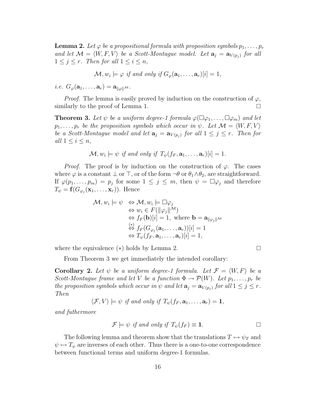**Lemma 2.** Let  $\varphi$  be a propositional formula with proposition symbols  $p_1, \ldots, p_r$ *and let*  $\mathcal{M} = \langle W, F, V \rangle$  *be a Scott-Montague model. Let*  $\mathbf{a}_j = \mathbf{a}_{V(p_j)}$  *for all*  $1 \leq j \leq r$ *. Then for all*  $1 \leq i \leq n$ *,* 

$$
\mathcal{M}, w_i \models \varphi \text{ if and only if } G_{\varphi}(\mathbf{a}_1, \dots, \mathbf{a}_r)[i] = 1,
$$

*i.e.*  $G_{\varphi}(\mathbf{a}_1,\ldots,\mathbf{a}_r) = \mathbf{a}_{\|\varphi\|}\mathcal{M}$ .

*Proof.* The lemma is easily proved by induction on the construction of  $\varphi$ , similarly to the proof of Lemma 1.  $\Box$ 

**Theorem 3.** Let  $\psi$  be a uniform degree-1 formula  $\varphi(\Box \varphi_1, \ldots, \Box \varphi_m)$  and let  $p_1,\ldots,p_r$  *be the proposition symbols which occur in*  $\psi$ *. Let*  $\mathcal{M} = \langle W, F, V \rangle$ *be a Scott-Montague model and let*  $\mathbf{a}_j = \mathbf{a}_{V(p_j)}$  *for all*  $1 \leq j \leq r$ *. Then for all*  $1 \leq i \leq n$ *,* 

$$
\mathcal{M}, w_i \models \psi \text{ if and only if } T_{\psi}(f_F, \mathbf{a}_1, \dots, \mathbf{a}_r)[i] = 1.
$$

*Proof.* The proof is by induction on the construction of  $\varphi$ . The cases where  $\varphi$  is a constant  $\bot$  or  $\top$ , or of the form  $\neg \theta$  or  $\theta_1 \wedge \theta_2$ , are straightforward. If  $\varphi(p_1,\ldots,p_m) = p_j$  for some  $1 \leq j \leq m$ , then  $\psi = \Box \varphi_j$  and therefore  $T_{\psi} = \mathbf{f}(G_{\varphi_i}(\mathbf{x}_1,\ldots,\mathbf{x}_r)).$  Hence

$$
\mathcal{M}, w_i \models \psi \Leftrightarrow \mathcal{M}, w_i \models \Box \varphi_j
$$
  
\n
$$
\Leftrightarrow w_i \in F(||\varphi_j||^{\mathcal{M}})
$$
  
\n
$$
\Leftrightarrow f_F(\mathbf{b})[i] = 1, \text{ where } \mathbf{b} = \mathbf{a}_{||\varphi_j||^{\mathcal{M}}}
$$
  
\n
$$
\Leftrightarrow f_F(G_{\varphi_j}(\mathbf{a}_1, \dots, \mathbf{a}_r))[i] = 1
$$
  
\n
$$
\Leftrightarrow T_{\psi}(f_F, \mathbf{a}_1, \dots, \mathbf{a}_r)[i] = 1,
$$

where the equivalence (∗) holds by Lemma 2.

$$
\qquad \qquad \Box
$$

From Theorem 3 we get immediately the intended corollary:

**Corollary 2.** Let  $\psi$  be a uniform degree-1 formula. Let  $\mathcal{F} = \langle W, F \rangle$  be a *Scott-Montague frame and let* V *be a function*  $\Phi \to \mathcal{P}(W)$ *. Let*  $p_1, \ldots, p_r$  *be the proposition symbols which occur in*  $\psi$  *and let*  $\mathbf{a}_i = \mathbf{a}_{V(p_i)}$  *for all*  $1 \leq j \leq r$ *. Then*

$$
\langle \mathcal{F}, V \rangle \models \psi \text{ if and only if } T_{\psi}(f_F, \mathbf{a}_1, \dots, \mathbf{a}_r) = \mathbf{1},
$$

*and futhermore*

$$
\mathcal{F} \models \psi \text{ if and only if } T_{\psi}(f_F) \equiv 1. \Box
$$

The following lemma and theorem show that the translations  $T \mapsto \psi_T$  and  $\psi \mapsto T_{\psi}$  are inverses of each other. Thus there is a one-to-one correspondence between functional terms and uniform degree-1 formulas.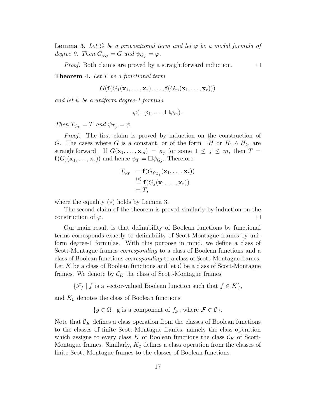**Lemma 3.** Let G be a propositional term and let  $\varphi$  be a modal formula of *degree 0. Then*  $G_{\psi_G} = G$  *and*  $\psi_{G_{\varphi}} = \varphi$ *.* 

*Proof.* Both claims are proved by a straightforward induction.

**Theorem 4.** *Let* T *be a functional term*

 $G(f(G_1({\bf x}_1,\ldots,{\bf x}_r),\ldots,f(G_m({\bf x}_1,\ldots,{\bf x}_r)))$ 

*and let* ψ *be a uniform degree-1 formula*

$$
\varphi(\Box\varphi_1,\ldots,\Box\varphi_m).
$$

*Then*  $T_{\psi_T} = T$  *and*  $\psi_{T_{\psi}} = \psi$ *.* 

*Proof.* The first claim is proved by induction on the construction of G. The cases where G is a constant, or of the form  $\neg H$  or  $H_1 \wedge H_2$ , are straightforward. If  $G(\mathbf{x}_1,\ldots,\mathbf{x}_m) = \mathbf{x}_j$  for some  $1 \leq j \leq m$ , then  $T =$  $f(G_j(\mathbf{x}_1,\ldots,\mathbf{x}_r))$  and hence  $\psi_T = \Box \psi_{G_i}$ . Therefore

$$
T_{\psi_T} = \mathbf{f}(G_{\psi_{G_j}}(\mathbf{x}_1, \dots, \mathbf{x}_r))
$$
  
\n
$$
\stackrel{(*)}{=} \mathbf{f}(G_j(\mathbf{x}_1, \dots, \mathbf{x}_r))
$$
  
\n
$$
= T,
$$

where the equality (∗) holds by Lemma 3.

The second claim of the theorem is proved similarly by induction on the construction of  $\varphi$ .

Our main result is that definability of Boolean functions by functional terms corresponds exactly to definability of Scott-Montague frames by uniform degree-1 formulas. With this purpose in mind, we define a class of Scott-Montague frames *corresponding* to a class of Boolean functions and a class of Boolean functions *corresponding* to a class of Scott-Montague frames. Let K be a class of Boolean functions and let  $\mathcal C$  be a class of Scott-Montague frames. We denote by  $\mathcal{C}_K$  the class of Scott-Montague frames

 $\{\mathcal{F}_f \mid f \text{ is a vector-valued Boolean function such that } f \in K\},\$ 

and  $K_C$  denotes the class of Boolean functions

 ${g \in \Omega \mid g \text{ is a component of } f_{\mathcal{F}}}, \text{ where } \mathcal{F} \in \mathcal{C}}.$ 

Note that  $\mathcal{C}_K$  defines a class operation from the classes of Boolean functions to the classes of finite Scott-Montague frames, namely the class operation which assigns to every class K of Boolean functions the class  $\mathcal{C}_K$  of Scott-Montague frames. Similarly,  $K_{\mathcal{C}}$  defines a class operation from the classes of finite Scott-Montague frames to the classes of Boolean functions.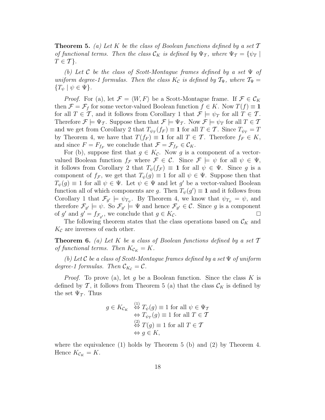**Theorem 5.** *(a) Let* K *be the class of Boolean functions defined by a set* T *of functional terms. Then the class*  $\mathcal{C}_K$  *is defined by*  $\Psi_{\mathcal{T}}$ *, where*  $\Psi_{\mathcal{T}} = {\psi_{\mathcal{T}}}$  $T \in \mathcal{T}$ .

*(b) Let* C *be the class of Scott-Montague frames defined by a set* Ψ *of uniform degree-1 formulas. Then the class*  $K_c$  *is defined by*  $\mathcal{T}_{\Psi}$ *, where*  $\mathcal{T}_{\Psi}$  =  $\{T_{\psi} \mid \psi \in \Psi\}.$ 

*Proof.* For (a), let  $\mathcal{F} = \langle W, F \rangle$  be a Scott-Montague frame. If  $\mathcal{F} \in \mathcal{C}_K$ then  $\mathcal{F} = \mathcal{F}_f$  for some vector-valued Boolean function  $f \in K$ . Now  $T(f) \equiv 1$ for all  $T \in \mathcal{T}$ , and it follows from Corollary 1 that  $\mathcal{F} \models \psi_T$  for all  $T \in \mathcal{T}$ . Therefore  $\mathcal{F} \models \Psi_{\mathcal{T}}$ . Suppose then that  $\mathcal{F} \models \Psi_{\mathcal{T}}$ . Now  $\mathcal{F} \models \psi_T$  for all  $T \in \mathcal{T}$ and we get from Corollary 2 that  $T_{\psi_T}(f_F) \equiv 1$  for all  $T \in \mathcal{T}$ . Since  $T_{\psi_T} = T$ by Theorem 4, we have that  $T(f_F) \equiv 1$  for all  $T \in \mathcal{T}$ . Therefore  $f_F \in K$ , and since  $F = F_{f_F}$  we conclude that  $\mathcal{F} = \mathcal{F}_{f_F} \in \mathcal{C}_K$ .

For (b), suppose first that  $g \in K_{\mathcal{C}}$ . Now g is a component of a vectorvalued Boolean function  $f_{\mathcal{F}}$  where  $\mathcal{F} \in \mathcal{C}$ . Since  $\mathcal{F} \models \psi$  for all  $\psi \in \Psi$ , it follows from Corollary 2 that  $T_{\psi}(f_{\mathcal{F}}) \equiv 1$  for all  $\psi \in \Psi$ . Since g is a component of  $f_{\mathcal{F}}$ , we get that  $T_{\psi}(g) \equiv 1$  for all  $\psi \in \Psi$ . Suppose then that  $T_{\psi}(g) \equiv 1$  for all  $\psi \in \Psi$ . Let  $\psi \in \Psi$  and let g' be a vector-valued Boolean function all of which components are g. Then  $T_{\psi}(g') \equiv 1$  and it follows from Corollary 1 that  $\mathcal{F}_{g'} \models \psi_{T_{\psi}}$ . By Theorem 4, we know that  $\psi_{T_{\psi}} = \psi$ , and therefore  $\mathcal{F}_{g'} \models \psi$ . So  $\mathcal{F}_{g'} \models \Psi$  and hence  $\mathcal{F}_{g'} \in \mathcal{C}$ . Since g is a component of g' and  $g' = f_{\mathcal{F}_g}$ , we conclude that  $g \in K_c$ .

The following theorem states that the class operations based on  $\mathcal{C}_K$  and  $K_{\mathcal{C}}$  are inverses of each other.

**Theorem 6.** *(a) Let* K *be a class of Boolean functions defined by a set* T *of functional terms. Then*  $K_{\mathcal{C}_K} = K$ .

*(b) Let* C *be a class of Scott-Montague frames defined by a set* Ψ *of uniform degree-1 formulas. Then*  $\mathcal{C}_{K_c} = \mathcal{C}$ .

*Proof.* To prove (a), let g be a Boolean function. Since the class K is defined by T, it follows from Theorem 5 (a) that the class  $\mathcal{C}_K$  is defined by the set  $\Psi_{\mathcal{T}}$ . Thus

$$
g \in K_{\mathcal{C}_K} \overset{(1)}{\Leftrightarrow} T_{\psi}(g) \equiv 1 \text{ for all } \psi \in \Psi_{\mathcal{T}}
$$

$$
\Leftrightarrow T_{\psi_T}(g) \equiv 1 \text{ for all } T \in \mathcal{T}
$$

$$
\overset{(2)}{\Leftrightarrow} T(g) \equiv 1 \text{ for all } T \in \mathcal{T}
$$

$$
\Leftrightarrow g \in K,
$$

where the equivalence  $(1)$  holds by Theorem 5  $(b)$  and  $(2)$  by Theorem 4. Hence  $K_{\mathcal{C}_K} = K$ .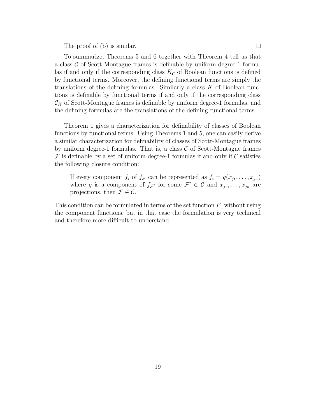The proof of (b) is similar.  $\square$ 

To summarize, Theorems 5 and 6 together with Theorem 4 tell us that a class  $\mathcal C$  of Scott-Montague frames is definable by uniform degree-1 formulas if and only if the corresponding class  $K_c$  of Boolean functions is defined by functional terms. Moreover, the defining functional terms are simply the translations of the defining formulas. Similarly a class  $K$  of Boolean functions is definable by functional terms if and only if the corresponding class  $\mathcal{C}_K$  of Scott-Montague frames is definable by uniform degree-1 formulas, and the defining formulas are the translations of the defining functional terms.

Theorem 1 gives a characterization for definability of classes of Boolean functions by functional terms. Using Theorems 1 and 5, one can easily derive a similar characterization for definability of classes of Scott-Montague frames by uniform degree-1 formulas. That is, a class  $C$  of Scott-Montague frames  $\mathcal F$  is definable by a set of uniform degree-1 formulas if and only if C satisfies the following closure condition:

If every component  $f_i$  of  $f_{\mathcal{F}}$  can be represented as  $f_i = g(x_{j_1}, \ldots, x_{j_n})$ where g is a component of  $f_{\mathcal{F}'}$  for some  $\mathcal{F}' \in \mathcal{C}$  and  $x_{j_1}, \ldots, x_{j_n}$  are projections, then  $\mathcal{F} \in \mathcal{C}$ .

This condition can be formulated in terms of the set function  $F$ , without using the component functions, but in that case the formulation is very technical and therefore more difficult to understand.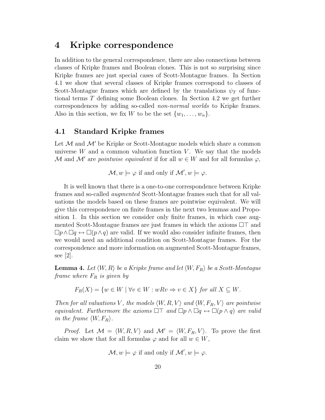### **4 Kripke correspondence**

In addition to the general correspondence, there are also connections between classes of Kripke frames and Boolean clones. This is not so surprising since Kripke frames are just special cases of Scott-Montague frames. In Section 4.1 we show that several classes of Kripke frames correspond to classes of Scott-Montague frames which are defined by the translations  $\psi_T$  of functional terms T defining some Boolean clones. In Section 4.2 we get further correspondences by adding so-called *non-normal worlds* to Kripke frames. Also in this section, we fix W to be the set  $\{w_1, \ldots, w_n\}$ .

### **4.1 Standard Kripke frames**

Let  $\mathcal M$  and  $\mathcal M'$  be Kripke or Scott-Montague models which share a common universe  $W$  and a common valuation function  $V$ . We say that the models M and M' are *pointwise equivalent* if for all  $w \in W$  and for all formulas  $\varphi$ ,

 $\mathcal{M}, w \models \varphi$  if and only if  $\mathcal{M}', w \models \varphi$ .

It is well known that there is a one-to-one correspondence between Kripke frames and so-called *augmented* Scott-Montague frames such that for all valuations the models based on these frames are pointwise equivalent. We will give this correspondence on finite frames in the next two lemmas and Proposition 1. In this section we consider only finite frames, in which case augmented Scott-Montague frames are just frames in which the axioms  $\Box\top$  and  $\Box p \land \Box q \leftrightarrow \Box (p \land q)$  are valid. If we would also consider infinite frames, then we would need an additional condition on Scott-Montague frames. For the correspondence and more information on augmented Scott-Montague frames, see [2].

 ${\bf Lemma~4.}$  Let  $\langle W,R\rangle$  be a Kripke frame and let  $\langle W,F_R\rangle$  be a Scott-Montague *frame where*  $F_R$  *is given by* 

$$
F_R(X) = \{ w \in W \mid \forall v \in W : wRv \Rightarrow v \in X \} \text{ for all } X \subseteq W.
$$

*Then for all valuations* V, the models  $\langle W, R, V \rangle$  and  $\langle W, F_R, V \rangle$  are pointwise *equivalent. Furthermore the axioms*  $\Box\top$  *and*  $\Box p \land \Box q \leftrightarrow \Box (p \land q)$  *are valid in the frame*  $\langle W, F_R \rangle$ .

*Proof.* Let  $\mathcal{M} = \langle W, R, V \rangle$  and  $\mathcal{M}' = \langle W, F_R, V \rangle$ . To prove the first claim we show that for all formulas  $\varphi$  and for all  $w \in W$ ,

$$
\mathcal{M}, w \models \varphi \text{ if and only if } \mathcal{M}', w \models \varphi.
$$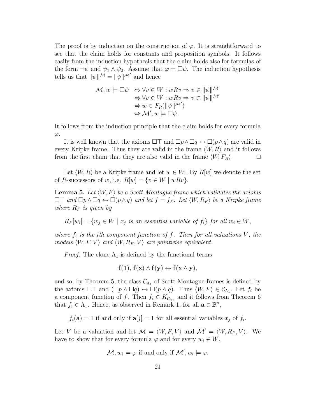The proof is by induction on the construction of  $\varphi$ . It is straightforward to see that the claim holds for constants and proposition symbols. It follows easily from the induction hypothesis that the claim holds also for formulas of the form  $\neg \psi$  and  $\psi_1 \wedge \psi_2$ . Assume that  $\varphi = \Box \psi$ . The induction hypothesis tells us that  $\|\psi\|^{M} = \|\psi\|^{M'}$  and hence

$$
\mathcal{M}, w \models \Box \psi \Leftrightarrow \forall v \in W : wRv \Rightarrow v \in ||\psi||^{\mathcal{M}}\Leftrightarrow \forall v \in W : wRv \Rightarrow v \in ||\psi||^{\mathcal{M}'}\Leftrightarrow w \in F_R(||\psi||^{\mathcal{M}'})\Leftrightarrow \mathcal{M}', w \models \Box \psi.
$$

It follows from the induction principle that the claim holds for every formula  $\varphi$ .

It is well known that the axioms  $\Box\top$  and  $\Box p \land \Box q \leftrightarrow \Box (p \land q)$  are valid in every Kripke frame. Thus they are valid in the frame  $\langle W, R \rangle$  and it follows from the first claim that they are also valid in the frame  $\langle W, F_R \rangle$ .  $\Box$ 

Let  $\langle W, R \rangle$  be a Kripke frame and let  $w \in W$ . By  $R[w]$  we denote the set of R-successors of w, i.e.  $R[w] = \{v \in W \mid wRv\}.$ 

**Lemma 5.** Let  $\langle W, F \rangle$  be a Scott-Montague frame which validates the axioms  $\Box\top$  *and*  $\Box p \land \Box q \leftrightarrow \Box (p \land q)$  *and let*  $f = f_F$ *. Let*  $\langle W, R_F \rangle$  *be a Kripke frame where*  $R_F$  *is given by* 

 $R_F[w_i] = \{w_j \in W \mid x_j \text{ is an essential variable of } f_i\} \text{ for all } w_i \in W,$ 

*where*  $f_i$  *is the ith component function of*  $f$ *. Then for all valuations*  $V$ *, the models*  $\langle W, F, V \rangle$  and  $\langle W, R_F, V \rangle$  are pointwise equivalent.

*Proof.* The clone  $\Lambda_1$  is defined by the functional terms

$$
\mathbf{f}(\mathbf{1}),\,\mathbf{f}(\mathbf{x})\wedge\mathbf{f}(\mathbf{y})\leftrightarrow\mathbf{f}(\mathbf{x}\wedge\mathbf{y}),
$$

and so, by Theorem 5, the class  $\mathcal{C}_{\Lambda_1}$  of Scott-Montague frames is defined by the axioms  $\Box \top$  and  $(\Box p \land \Box q) \leftrightarrow \Box (p \land q)$ . Thus  $\langle W, F \rangle \in \mathcal{C}_{\Lambda_1}$ . Let  $f_i$  be a component function of f. Then  $f_i \in K_{\mathcal{C}_{\Lambda_1}}$  and it follows from Theorem 6 that  $f_i \in \Lambda_1$ . Hence, as observed in Remark 1, for all  $\mathbf{a} \in \mathbb{B}^n$ ,

 $f_i(\mathbf{a}) = 1$  if and only if  $\mathbf{a}[j] = 1$  for all essential variables  $x_j$  of  $f_i$ .

Let V be a valuation and let  $\mathcal{M} = \langle W, F, V \rangle$  and  $\mathcal{M}' = \langle W, R_F, V \rangle$ . We have to show that for every formula  $\varphi$  and for every  $w_i \in W$ ,

$$
\mathcal{M}, w_i \models \varphi \text{ if and only if } \mathcal{M}', w_i \models \varphi.
$$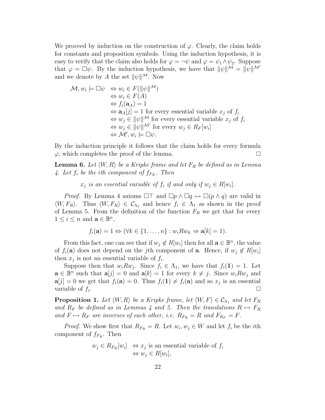We proceed by induction on the construction of  $\varphi$ . Clearly, the claim holds for constants and proposition symbols. Using the induction hypothesis, it is easy to verify that the claim also holds for  $\varphi = \neg \psi$  and  $\varphi = \psi_1 \wedge \psi_2$ . Suppose that  $\varphi = \Box \psi$ . By the induction hypothesis, we have that  $\|\psi\|^{M} = \|\psi\|^{M'}$ and we denote by  $A$  the set  $||\psi||^{\mathcal{M}}$ . Now

$$
\mathcal{M}, w_i \models \Box \psi \Leftrightarrow w_i \in F(\|\psi\|^{\mathcal{M}})\n\Leftrightarrow w_i \in F(A)\n\Leftrightarrow f_i(\mathbf{a}_A) = 1\n\Leftrightarrow \mathbf{a}_A[j] = 1 \text{ for every essential variable } x_j \text{ of } f_i\n\Leftrightarrow w_j \in \|\psi\|^{\mathcal{M}} \text{ for every essential variable } x_j \text{ of } f_i\n\Leftrightarrow w_j \in \|\psi\|^{\mathcal{M}'} \text{ for every } w_j \in R_F[w_i]\n\Leftrightarrow \mathcal{M}', w_i \models \Box \psi.
$$

By the induction principle it follows that the claim holds for every formula  $\varphi$ , which completes the proof of the lemma.

**Lemma 6.** Let  $\langle W, R \rangle$  be a Kripke frame and let  $F_R$  be defined as in Lemma 4. Let  $f_i$  be the *i*th component of  $f_{F_R}$ . Then

 $x_j$  *is an essential variable of*  $f_i$  *if and only if*  $w_j \in R[w_i]$ .

*Proof.* By Lemma 4 axioms  $\Box\top$  and  $\Box p \land \Box q \leftrightarrow \Box (p \land q)$  are valid in  $\langle W, F_R \rangle$ . Thus  $\langle W, F_R \rangle \in \mathcal{C}_{\Lambda_1}$  and hence  $f_i \in \Lambda_1$  as shown in the proof of Lemma 5. From the definition of the function  $F_R$  we get that for every  $1 \leq i \leq n$  and  $\mathbf{a} \in \mathbb{B}^n$ ,

$$
f_i(\mathbf{a}) = 1 \Leftrightarrow (\forall k \in \{1, \ldots, n\} : w_i R w_k \Rightarrow \mathbf{a}[k] = 1).
$$

From this fact, one can see that if  $w_j \notin R[w_i]$  then for all  $\mathbf{a} \in \mathbb{B}^n$ , the value of  $f_i(\mathbf{a})$  does not depend on the j<sup>th</sup> component of **a**. Hence, if  $w_i \notin R[w_i]$ then  $x_j$  is not an essential variable of  $f_i$ .

Suppose then that  $w_i R w_j$ . Since  $f_i \in \Lambda_1$ , we have that  $f_i(1) = 1$ . Let  $\mathbf{a} \in \mathbb{B}^n$  such that  $\mathbf{a}[j] = 0$  and  $\mathbf{a}[k] = 1$  for every  $k \neq j$ . Since  $w_i R w_j$  and  $\mathbf{a}[j] = 0$  we get that  $f_i(\mathbf{a}) = 0$ . Thus  $f_i(\mathbf{1}) \neq f_i(\mathbf{a})$  and so  $x_j$  is an essential variable of  $f_i$ .

**Proposition 1.** Let  $\langle W, R \rangle$  be a Kripke frame, let  $\langle W, F \rangle \in \mathcal{C}_{\Lambda_1}$  and let  $F_R$ *and*  $R_F$  *be defined as in Lemmas 4 and 5. Then the translations*  $R \mapsto F_R$ and  $F \mapsto R_F$  are inverses of each other, i.e.  $R_{F_R} = R$  and  $F_{R_F} = F$ .

*Proof.* We show first that  $R_{F_R} = R$ . Let  $w_i, w_j \in W$  and let  $f_i$  be the *i*th component of  $f_{F_R}$ . Then

$$
w_j \in R_{F_R}[w_i] \iff x_j
$$
 is an essential variable of  $f_i$   
 $\iff w_j \in R[w_i],$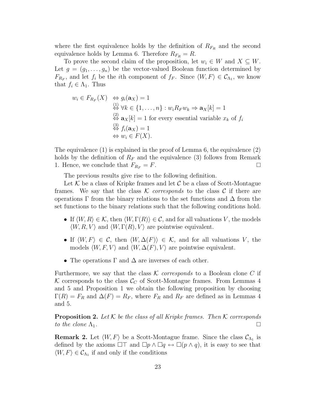where the first equivalence holds by the definition of  $R_{F_R}$  and the second equivalence holds by Lemma 6. Therefore  $R_{F_R} = R$ .

To prove the second claim of the proposition, let  $w_i \in W$  and  $X \subseteq W$ . Let  $g = (g_1, \ldots, g_n)$  be the vector-valued Boolean function determined by  $F_{R_F}$ , and let  $f_i$  be the *i*th component of  $f_F$ . Since  $\langle W, F \rangle \in \mathcal{C}_{\Lambda_1}$ , we know that  $f_i \in \Lambda_1$ . Thus

$$
w_i \in F_{R_F}(X) \Leftrightarrow g_i(\mathbf{a}_X) = 1
$$
  
\n
$$
\Leftrightarrow \forall k \in \{1, ..., n\} : w_i R_F w_k \Rightarrow \mathbf{a}_X[k] = 1
$$
  
\n
$$
\Leftrightarrow \mathbf{a}_X[k] = 1 \text{ for every essential variable } x_k \text{ of } f_i
$$
  
\n
$$
\Leftrightarrow \mathbf{a}_X \Leftrightarrow f_i(\mathbf{a}_X) = 1
$$
  
\n
$$
\Leftrightarrow w_i \in F(X).
$$

The equivalence (1) is explained in the proof of Lemma 6, the equivalence (2) holds by the definition of  $R_F$  and the equivalence (3) follows from Remark 1. Hence, we conclude that  $F_{R_F} = F$ .

The previous results give rise to the following definition.

Let  $K$  be a class of Kripke frames and let  $C$  be a class of Scott-Montague frames. We say that the class  $\mathcal K$  *corresponds* to the class  $\mathcal C$  if there are operations  $\Gamma$  from the binary relations to the set functions and  $\Delta$  from the set functions to the binary relations such that the following conditions hold.

- If  $\langle W, R \rangle \in \mathcal{K}$ , then  $\langle W, \Gamma(R) \rangle \in \mathcal{C}$ , and for all valuations V, the models  $\langle W, R, V \rangle$  and  $\langle W, \Gamma(R), V \rangle$  are pointwise equivalent.
- If  $\langle W, F \rangle \in \mathcal{C}$ , then  $\langle W, \Delta(F) \rangle \in \mathcal{K}$ , and for all valuations V, the models  $\langle W, F, V \rangle$  and  $\langle W, \Delta(F), V \rangle$  are pointwise equivalent.
- The operations  $\Gamma$  and  $\Delta$  are inverses of each other.

Furthermore, we say that the class  $K$  *corresponds* to a Boolean clone C if K corresponds to the class  $\mathcal{C}_C$  of Scott-Montague frames. From Lemmas 4 and 5 and Proposition 1 we obtain the following proposition by choosing  $\Gamma(R) = F_R$  and  $\Delta(F) = R_F$ , where  $F_R$  and  $R_F$  are defined as in Lemmas 4 and 5.

**Proposition 2.** *Let* K *be the class of all Kripke frames. Then* K *corresponds to the clone*  $\Lambda_1$ .

**Remark 2.** Let  $\langle W, F \rangle$  be a Scott-Montague frame. Since the class  $\mathcal{C}_{\Lambda_1}$  is defined by the axioms  $\Box\top$  and  $\Box p \land \Box q \leftrightarrow \Box (p \land q)$ , it is easy to see that  $\langle W, F \rangle \in C_{\Lambda_1}$  if and only if the conditions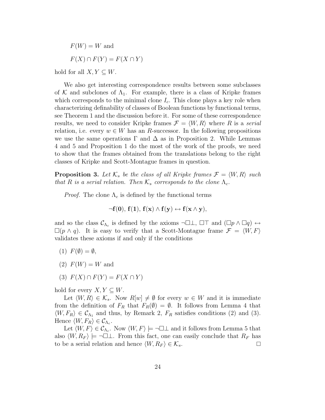$F(W) = W$  and  $F(X) \cap F(Y) = F(X \cap Y)$ 

hold for all  $X, Y \subseteq W$ .

We also get interesting correspondence results between some subclasses of K and subclones of  $\Lambda_1$ . For example, there is a class of Kripke frames which corresponds to the minimal clone  $I_c$ . This clone plays a key role when characterizing definability of classes of Boolean functions by functional terms, see Theorem 1 and the discussion before it. For some of these correspondence results, we need to consider Kripke frames  $\mathcal{F} = \langle W, R \rangle$  where R is a *serial* relation, i.e. every  $w \in W$  has an R-successor. In the following propositions we use the same operations  $\Gamma$  and  $\Delta$  as in Proposition 2. While Lemmas 4 and 5 and Proposition 1 do the most of the work of the proofs, we need to show that the frames obtained from the translations belong to the right classes of Kripke and Scott-Montague frames in question.

**Proposition 3.** Let  $\mathcal{K}_s$  be the class of all Kripke frames  $\mathcal{F} = \langle W, R \rangle$  such *that* R *is a serial relation. Then*  $\mathcal{K}_s$  *corresponds to the clone*  $\Lambda_c$ *.* 

*Proof.* The clone  $\Lambda_c$  is defined by the functional terms

$$
\neg f(0),\, f(1),\, f(\mathbf{x})\wedge f(\mathbf{y})\leftrightarrow f(\mathbf{x}\wedge\mathbf{y}),
$$

and so the class  $\mathcal{C}_{\Lambda_c}$  is defined by the axioms  $\neg \Box \bot$ ,  $\Box \top$  and  $(\Box p \land \Box q) \leftrightarrow$  $\square(p \wedge q)$ . It is easy to verify that a Scott-Montague frame  $\mathcal{F} = \langle W, F \rangle$ validates these axioms if and only if the conditions

- $(1)$   $F(\emptyset) = \emptyset$ ,
- $(2)$   $F(W) = W$  and
- (3)  $F(X) \cap F(Y) = F(X \cap Y)$

hold for every  $X, Y \subseteq W$ .

Let  $\langle W, R \rangle \in \mathcal{K}_s$ . Now  $R[w] \neq \emptyset$  for every  $w \in W$  and it is immediate from the definition of  $F_R$  that  $F_R(\emptyset) = \emptyset$ . It follows from Lemma 4 that  $\langle W, F_R \rangle \in \mathcal{C}_{\Lambda_1}$  and thus, by Remark 2,  $F_R$  satisfies conditions (2) and (3). Hence  $\langle W, F_R \rangle \in \mathcal{C}_{\Lambda_c}$ .

Let  $\langle W, F \rangle \in \mathcal{C}_{\Lambda_c}$ . Now  $\langle W, F \rangle \models \neg \Box \bot$  and it follows from Lemma 5 that also  $\langle W, R_F \rangle \models \neg \Box \bot$ . From this fact, one can easily conclude that  $R_F$  has to be a serial relation and hence  $\langle W, R_F \rangle \in \mathcal{K}_s$ .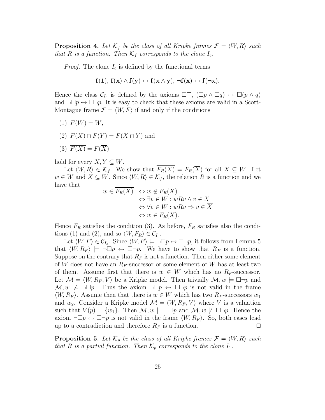**Proposition 4.** Let  $\mathcal{K}_f$  be the class of all Kripke frames  $\mathcal{F} = \langle W, R \rangle$  such *that*  $R$  *is a function. Then*  $K_f$  *corresponds to the clone*  $I_c$ *.* 

*Proof.* The clone  $I_c$  is defined by the functional terms

$$
f(1),\,f(\mathbf{x})\wedge f(\mathbf{y})\leftrightarrow f(\mathbf{x}\wedge\mathbf{y}),\,\neg f(\mathbf{x})\leftrightarrow f(\neg\mathbf{x}).
$$

Hence the class  $\mathcal{C}_{I_c}$  is defined by the axioms  $\Box \top$ ,  $(\Box p \land \Box q) \leftrightarrow \Box (p \land q)$ and  $\neg \Box p \leftrightarrow \Box \neg p$ . It is easy to check that these axioms are valid in a Scott-Montague frame  $\mathcal{F} = \langle W, F \rangle$  if and only if the conditions

- (1)  $F(W) = W$ ,
- (2)  $F(X) \cap F(Y) = F(X \cap Y)$  and
- (3)  $\overline{F(X)} = F(\overline{X})$

hold for every  $X, Y \subseteq W$ .

Let  $\langle W, R \rangle \in \mathcal{K}_f$ . We show that  $F_R(X) = F_R(X)$  for all  $X \subseteq W$ . Let  $w \in W$  and  $X \subseteq W$ . Since  $\langle W, R \rangle \in \mathcal{K}_f$ , the relation R is a function and we have that

$$
w \in F_R(X) \Leftrightarrow w \notin F_R(X)
$$
  
\n
$$
\Leftrightarrow \exists v \in W : wRv \land v \in \overline{X}
$$
  
\n
$$
\Leftrightarrow \forall v \in W : wRv \Rightarrow v \in \overline{X}
$$
  
\n
$$
\Leftrightarrow w \in F_R(\overline{X}).
$$

Hence  $F_R$  satisfies the condition (3). As before,  $F_R$  satisfies also the conditions (1) and (2), and so  $\langle W, F_R \rangle \in \mathcal{C}_{I_c}$ .

Let  $\langle W, F \rangle \in \mathcal{C}_{I_c}$ . Since  $\langle W, F \rangle \models \neg \Box p \leftrightarrow \Box \neg p$ , it follows from Lemma 5 that  $\langle W, R_F \rangle \models \neg \Box p \leftrightarrow \Box \neg p$ . We have to show that  $R_F$  is a function. Suppose on the contrary that  $R_F$  is not a function. Then either some element of W does not have an  $R_F$ -successor or some element of W has at least two of them. Assume first that there is  $w \in W$  which has no  $R_F$ -successor. Let  $\mathcal{M} = \langle W, R_F, V \rangle$  be a Kripke model. Then trivially  $\mathcal{M}, w \models \Box \neg p$  and  $\mathcal{M}, w \not\models \neg \Box p$ . Thus the axiom  $\neg \Box p \leftrightarrow \Box \neg p$  is not valid in the frame  $\langle W, R_F \rangle$ . Assume then that there is  $w \in W$  which has two  $R_F$ -successors  $w_1$ and  $w_2$ . Consider a Kripke model  $\mathcal{M} = \langle W, R_F, V \rangle$  where V is a valuation such that  $V(p) = \{w_1\}$ . Then  $\mathcal{M}, w \models \neg \Box p$  and  $\mathcal{M}, w \not\models \Box \neg p$ . Hence the axiom  $\neg \Box p \leftrightarrow \Box \neg p$  is not valid in the frame  $\langle W, R_F \rangle$ . So, both cases lead up to a contradiction and therefore  $R_F$  is a function.

**Proposition 5.** Let  $\mathcal{K}_p$  be the class of all Kripke frames  $\mathcal{F} = \langle W, R \rangle$  such *that* R *is a partial function. Then*  $K_p$  *corresponds to the clone*  $I_1$ *.*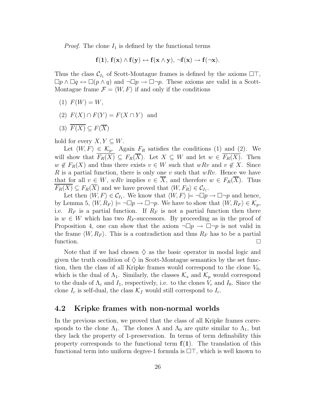*Proof.* The clone  $I_1$  is defined by the functional terms

$$
\mathbf{f}(1),\,\mathbf{f}(\mathbf{x})\wedge\mathbf{f}(\mathbf{y})\leftrightarrow\mathbf{f}(\mathbf{x}\wedge\mathbf{y}),\,\neg\mathbf{f}(\mathbf{x})\rightarrow\mathbf{f}(\neg\mathbf{x}).
$$

Thus the class  $\mathcal{C}_{I_1}$  of Scott-Montague frames is defined by the axioms  $\Box\top$ ,  $\Box p \wedge \Box q \leftrightarrow \Box (p \wedge q)$  and  $\neg \Box p \rightarrow \Box \neg p$ . These axioms are valid in a Scott-Montague frame  $\mathcal{F} = \langle W, F \rangle$  if and only if the conditions

- $(1) F(W) = W,$
- (2)  $F(X) \cap F(Y) = F(X \cap Y)$  and
- (3)  $\overline{F(X)} \subseteq F(\overline{X})$

hold for every  $X, Y \subseteq W$ .

Let  $\langle W, F \rangle \in \mathcal{K}_p$ . Again  $F_R$  satisfies the conditions (1) and (2). We will show that  $\overline{F_R(X)} \subseteq F_R(\overline{X})$ . Let  $X \subseteq W$  and let  $w \in \overline{F_R(X)}$ . Then  $w \notin F_R(X)$  and thus there exists  $v \in W$  such that  $wRv$  and  $v \notin X$ . Since R is a partial function, there is only one v such that  $wRv$ . Hence we have that for all  $v \in W$ , wRv implies  $v \in \overline{X}$ , and therefore  $w \in F_R(\overline{X})$ . Thus  $F_R(X) \subseteq F_R(X)$  and we have proved that  $\langle W, F_R \rangle \in \mathcal{C}_{I_1}$ .

Let then  $\langle W, F \rangle \in \mathcal{C}_{I_1}$ . We know that  $\langle W, F \rangle \models \neg \Box p \rightarrow \Box \neg p$  and hence, by Lemma 5,  $\langle W, R_F \rangle \models \neg \Box p \rightarrow \Box \neg p$ . We have to show that  $\langle W, R_F \rangle \in \mathcal{K}_p$ , i.e.  $R_F$  is a partial function. If  $R_F$  is not a partial function then there is  $w \in W$  which has two  $R_F$ -successors. By proceeding as in the proof of Proposition 4, one can show that the axiom  $\neg \Box p \rightarrow \Box \neg p$  is not valid in the frame  $\langle W, R_F \rangle$ . This is a contradiction and thus  $R_F$  has to be a partial function.  $\square$ 

Note that if we had chosen  $\diamondsuit$  as the basic operator in modal logic and given the truth condition of  $\diamondsuit$  in Scott-Montague semantics by the set function, then the class of all Kripke frames would correspond to the clone  $V_0$ , which is the dual of  $\Lambda_1$ . Similarly, the classes  $\mathcal{K}_s$  and  $\mathcal{K}_p$  would correspond to the duals of  $\Lambda_c$  and  $I_1$ , respectively, i.e. to the clones  $V_c$  and  $I_0$ . Since the clone  $I_c$  is self-dual, the class  $\mathcal{K}_f$  would still correspond to  $I_c$ .

#### **4.2 Kripke frames with non-normal worlds**

In the previous section, we proved that the class of all Kripke frames corresponds to the clone  $\Lambda_1$ . The clones  $\Lambda$  and  $\Lambda_0$  are quite similar to  $\Lambda_1$ , but they lack the property of 1-preservation. In terms of term definability this property corresponds to the functional term **f**(**1**). The translation of this functional term into uniform degree-1 formula is  $\Box\top$ , which is well known to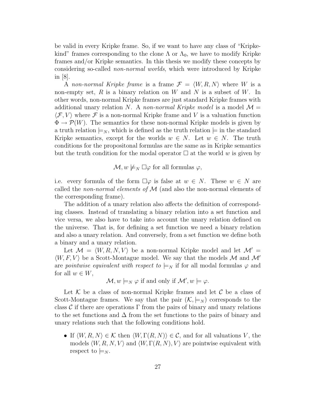be valid in every Kripke frame. So, if we want to have any class of "Kripkekind" frames corresponding to the clone  $\Lambda$  or  $\Lambda_0$ , we have to modify Kripke frames and/or Kripke semantics. In this thesis we modify these concepts by considering so-called *non-normal worlds*, which were introduced by Kripke in [8].

A *non-normal Kripke frame* is a frame  $\mathcal{F} = \langle W, R, N \rangle$  where W is a non-empty set,  $R$  is a binary relation on  $W$  and  $N$  is a subset of  $W$ . In other words, non-normal Kripke frames are just standard Kripke frames with additional unary relation N. A *non-normal Kripke model* is a model  $\mathcal{M} =$  $\langle \mathcal{F}, V \rangle$  where  $\mathcal F$  is a non-normal Kripke frame and V is a valuation function  $\Phi \to \mathcal{P}(W)$ . The semantics for these non-normal Kripke models is given by a truth relation  $\models_N$ , which is defined as the truth relation  $\models$  in the standard Kripke semantics, except for the worlds  $w \in N$ . Let  $w \in N$ . The truth conditions for the propositonal formulas are the same as in Kripke semantics but the truth condition for the modal operator  $\Box$  at the world w is given by

 $\mathcal{M}, w \not\models_N \Box \varphi$  for all formulas  $\varphi$ ,

i.e. every formula of the form  $\square \varphi$  is false at  $w \in N$ . These  $w \in N$  are called the *non-normal elements of* M (and also the non-normal elements of the corresponding frame).

The addition of a unary relation also affects the definition of corresponding classes. Instead of translating a binary relation into a set function and vice versa, we also have to take into account the unary relation defined on the universe. That is, for defining a set function we need a binary relation and also a unary relation. And conversely, from a set function we define both a binary and a unary relation.

Let  $\mathcal{M} = \langle W, R, N, V \rangle$  be a non-normal Kripke model and let  $\mathcal{M}' =$  $\langle W, F, V \rangle$  be a Scott-Montague model. We say that the models M and M' are *pointwise equivalent with respect to*  $\models_N$  if for all modal formulas  $\varphi$  and for all  $w \in W$ ,

$$
\mathcal{M}, w \models_N \varphi \text{ if and only if } \mathcal{M}', w \models \varphi.
$$

Let  $K$  be a class of non-normal Kripke frames and let  $C$  be a class of Scott-Montague frames. We say that the pair  $(K, \models_N)$  corresponds to the class  $\mathcal C$  if there are operations  $\Gamma$  from the pairs of binary and unary relations to the set functions and  $\Delta$  from the set functions to the pairs of binary and unary relations such that the following conditions hold.

• If  $\langle W, R, N \rangle \in \mathcal{K}$  then  $\langle W, \Gamma(R, N) \rangle \in \mathcal{C}$ , and for all valuations V, the models  $\langle W, R, N, V \rangle$  and  $\langle W, \Gamma(R, N), V \rangle$  are pointwise equivalent with respect to  $\models_N$ .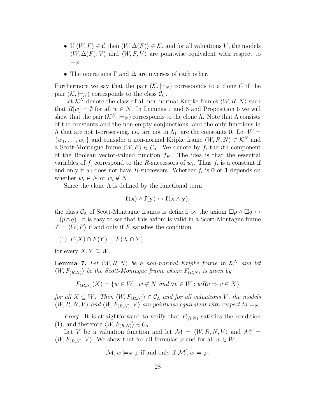- If  $\langle W, F \rangle \in \mathcal{C}$  then  $\langle W, \Delta(F) \rangle \in \mathcal{K}$ , and for all valuations V, the models  $\langle W, \Delta(F), V \rangle$  and  $\langle W, F, V \rangle$  are pointwise equivalent with respect to  $\models_N$ .
- The operations  $\Gamma$  and  $\Delta$  are inverses of each other.

Furthermore we say that the pair  $(\mathcal{K}, \models_N)$  corresponds to a clone C if the pair  $(K, \models_N)$  corresponds to the class  $\mathcal{C}_C$ .

Let  $\mathcal{K}^N$  denote the class of all non-normal Kripke frames  $\langle W, R, N \rangle$  such that  $R[w] = \emptyset$  for all  $w \in N$ . In Lemmas 7 and 8 and Proposition 6 we will show that the pair  $(K^N, \models_N)$  corresponds to the clone Λ. Note that Λ consists of the constants and the non-empty conjunctions, and the only functions in  $\Lambda$  that are not 1-preserving, i.e. are not in  $\Lambda_1$ , are the constants **0**. Let  $W =$  $\{w_1, \ldots, w_n\}$  and consider a non-normal Kripke frame  $\langle W, R, N \rangle \in \mathcal{K}^N$  and a Scott-Montague frame  $\langle W, F \rangle \in \mathcal{C}_{\Lambda}$ . We denote by  $f_i$  the *i*th component of the Boolean vector-valued function  $f_F$ . The idea is that the essential variables of  $f_i$  correspond to the R-successors of  $w_i$ . Thus  $f_i$  is a constant if and only if  $w_i$  does not have R-successors. Whether  $f_i$  is **0** or **1** depends on whether  $w_i \in N$  or  $w_i \notin N$ .

Since the clone  $\Lambda$  is defined by the functional term

$$
\mathbf{f}(\mathbf{x}) \wedge \mathbf{f}(\mathbf{y}) \leftrightarrow \mathbf{f}(\mathbf{x} \wedge \mathbf{y}),
$$

the class  $C_\Lambda$  of Scott-Montague frames is defined by the axiom  $\Box p \land \Box q \leftrightarrow$  $\Box(p\land q)$ . It is easy to see that this axiom is valid in a Scott-Montague frame  $\mathcal{F} = \langle W, F \rangle$  if and only if F satisfies the condition

(1)  $F(X) \cap F(Y) = F(X \cap Y)$ 

for every  $X, Y \subseteq W$ .

**Lemma 7.** Let  $\langle W, R, N \rangle$  be a non-normal Kripke frame in  $\mathcal{K}^N$  and let  $\langle W, F_{(R,N)} \rangle$  be the Scott-Montague frame where  $F_{(R,N)}$  is given by

$$
F_{(R,N)}(X) = \{ w \in W \mid w \notin N \text{ and } \forall v \in W : wRv \Rightarrow v \in X \}
$$

 $for \ all \ X \subseteq W$ . Then  $\langle W, F_{(R,N)} \rangle \in C_{\Lambda}$  and for all valuations V, the models  $\langle W, R, N, V \rangle$  and  $\langle W, F_{(R,N)}, V \rangle$  are pointwise equivalent with respect to  $\models_N$ .

*Proof.* It is straightforward to verify that  $F_{(R,N)}$  satisfies the condition (1), and therefore  $\langle W, F_{(R,N)} \rangle \in \mathcal{C}_{\Lambda}$ .

Let V be a valuation function and let  $\mathcal{M} = \langle W, R, N, V \rangle$  and  $\mathcal{M}' =$  $\langle W, F_{(R,N)}, V \rangle$ . We show that for all formulas  $\varphi$  and for all  $w \in W$ ,

$$
\mathcal{M}, w \models_N \varphi \text{ if and only if } \mathcal{M}', w \models \varphi.
$$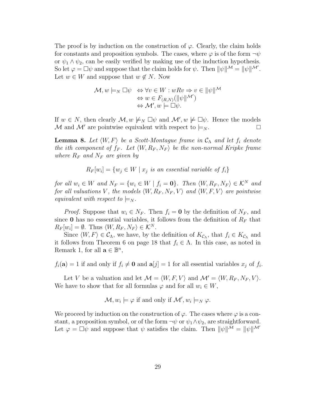The proof is by induction on the construction of  $\varphi$ . Clearly, the claim holds for constants and proposition symbols. The cases, where  $\varphi$  is of the form  $\neg \psi$ or  $\psi_1 \wedge \psi_2$ , can be easily verified by making use of the induction hypothesis. So let  $\varphi = \Box \psi$  and suppose that the claim holds for  $\psi$ . Then  $\|\psi\|^{\mathcal{M}} = \|\psi\|^{\mathcal{M}'}$ . Let  $w \in W$  and suppose that  $w \notin N$ . Now

$$
\mathcal{M}, w \models_N \Box \psi \Leftrightarrow \forall v \in W : wRv \Rightarrow v \in ||\psi||^{\mathcal{M}}\Leftrightarrow w \in F_{(R,N)}(||\psi||^{\mathcal{M}'})\Leftrightarrow \mathcal{M}', w \models \Box \psi.
$$

If  $w \in N$ , then clearly  $\mathcal{M}, w \not\models_N \Box \psi$  and  $\mathcal{M}', w \not\models \Box \psi$ . Hence the models M and M' are pointwise equivalent with respect to  $\models_N$ .

 $\bf{Lemma 8.}$  *Let*  $\langle W, F \rangle$  *be a Scott-Montague frame in*  $\mathcal{C}_{\Lambda}$  *and let*  $f_i$  *denote the ith component of*  $f_F$ . Let  $\langle W, R_F, N_F \rangle$  be the non-normal Kripke frame *where*  $R_F$  *and*  $N_F$  *are given by* 

$$
R_F[w_i] = \{w_j \in W \mid x_j \text{ is an essential variable of } f_i\}
$$

*for all*  $w_i \in W$  *and*  $N_F = \{w_i \in W \mid f_i = \mathbf{0}\}\$ . Then  $\langle W, R_F, N_F \rangle \in \mathcal{K}^N$  and *for all valuations* V, the models  $\langle W, R_F, N_F, V \rangle$  and  $\langle W, F, V \rangle$  are pointwise *equivalent with respect to*  $\models_N$ .

*Proof.* Suppose that  $w_i \in N_F$ . Then  $f_i = \mathbf{0}$  by the definition of  $N_F$ , and since **0** has no esssential variables, it follows from the definition of  $R_F$  that  $R_F[w_i] = \emptyset$ . Thus  $\langle W, R_F, N_F \rangle \in \mathcal{K}^N$ .

Since  $\langle W, F \rangle \in C_{\Lambda}$ , we have, by the definition of  $K_{C_{\Lambda}}$ , that  $f_i \in K_{C_{\Lambda}}$  and it follows from Theorem 6 on page 18 that  $f_i \in \Lambda$ . In this case, as noted in Remark 1, for all  $\mathbf{a} \in \mathbb{B}^n$ ,

 $f_i(\mathbf{a}) = 1$  if and only if  $f_i \neq \mathbf{0}$  and  $\mathbf{a}[j] = 1$  for all essential variables  $x_j$  of  $f_i$ .

Let V be a valuation and let  $\mathcal{M} = \langle W, F, V \rangle$  and  $\mathcal{M}' = \langle W, R_F, N_F, V \rangle$ . We have to show that for all formulas  $\varphi$  and for all  $w_i \in W$ ,

 $\mathcal{M}, w_i \models \varphi$  if and only if  $\mathcal{M}', w_i \models_N \varphi$ .

We proceed by induction on the construction of  $\varphi$ . The cases where  $\varphi$  is a constant, a proposition symbol, or of the form  $\neg \psi$  or  $\psi_1 \wedge \psi_2$ , are straightforward. Let  $\varphi = \Box \psi$  and suppose that  $\psi$  satisfies the claim. Then  $\|\psi\|^{M} = \|\psi\|^{M'}$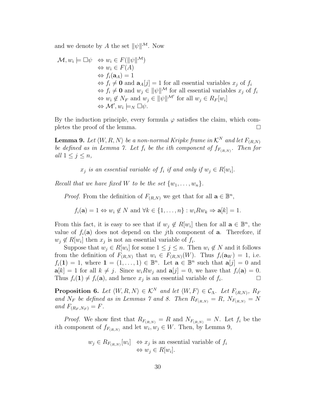and we denote by A the set  $||\psi||^{\mathcal{M}}$ . Now

$$
\mathcal{M}, w_i \models \Box \psi \Leftrightarrow w_i \in F(\|\psi\|^{M})
$$
  
\n
$$
\Leftrightarrow w_i \in F(A)
$$
  
\n
$$
\Leftrightarrow f_i(\mathbf{a}_A) = 1
$$
  
\n
$$
\Leftrightarrow f_i \neq \mathbf{0} \text{ and } \mathbf{a}_A[j] = 1 \text{ for all essential variables } x_j \text{ of } f_i
$$
  
\n
$$
\Leftrightarrow f_i \neq \mathbf{0} \text{ and } w_j \in \|\psi\|^{M} \text{ for all essential variables } x_j \text{ of } f_i
$$
  
\n
$$
\Leftrightarrow w_i \notin N_F \text{ and } w_j \in \|\psi\|^{M'} \text{ for all } w_j \in R_F[w_i]
$$
  
\n
$$
\Leftrightarrow \mathcal{M}', w_i \models_N \Box \psi.
$$

By the induction principle, every formula  $\varphi$  satisfies the claim, which completes the proof of the lemma.

**Lemma 9.** Let  $\langle W, R, N \rangle$  be a non-normal Kripke frame in  $\mathcal{K}^N$  and let  $F_{(R,N)}$ *be defined as in Lemma 7. Let*  $f_i$  *be the ith component of*  $f_{F_{(R,N)}}$ *. Then for all*  $1 \leq j \leq n$ *,* 

 $x_i$  *is an essential variable of*  $f_i$  *if and only if*  $w_i \in R[w_i]$ .

*Recall that we have fixed* W *to be the set*  $\{w_1, \ldots, w_n\}$ .

*Proof.* From the definition of  $F_{(R,N)}$  we get that for all  $\mathbf{a} \in \mathbb{B}^n$ ,

 $f_i(\mathbf{a})=1 \Leftrightarrow w_i \notin N$  and  $\forall k \in \{1,\ldots,n\} : w_i R w_k \Rightarrow \mathbf{a}[k]=1$ .

From this fact, it is easy to see that if  $w_i \notin R[w_i]$  then for all  $\mathbf{a} \in \mathbb{B}^n$ , the value of  $f_i(\mathbf{a})$  does not depend on the jth component of **a**. Therefore, if  $w_i \notin R[w_i]$  then  $x_i$  is not an essential variable of  $f_i$ .

Suppose that  $w_j \in R[w_i]$  for some  $1 \leq j \leq n$ . Then  $w_i \notin N$  and it follows from the definition of  $F_{(R,N)}$  that  $w_i \in F_{(R,N)}(W)$ . Thus  $f_i(\mathbf{a}_W) = 1$ , i.e.  $f_i(1) = 1$ , where  $1 = (1, \ldots, 1) \in \mathbb{B}^n$ . Let  $\mathbf{a} \in \mathbb{B}^n$  such that  $\mathbf{a}[j] = 0$  and  $a[k] = 1$  for all  $k \neq j$ . Since  $w_i R w_j$  and  $a[j] = 0$ , we have that  $f_i(a) = 0$ . Thus  $f_i(1) \neq f_i(\mathbf{a})$ , and hence  $x_j$  is an essential variable of  $f_i$ .

**Proposition 6.** Let  $\langle W, R, N \rangle \in \mathcal{K}^N$  and let  $\langle W, F \rangle \in \mathcal{C}_{\Lambda}$ . Let  $F_{(R,N)}$ ,  $R_F$ and  $N_F$  be defined as in Lemmas 7 and 8. Then  $R_{F_{(R,N)}} = R$ ,  $N_{F_{(R,N)}} = N$ *and*  $F_{(R_F, N_F)} = F$ .

*Proof.* We show first that  $R_{F_{(R,N)}} = R$  and  $N_{F_{(R,N)}} = N$ . Let  $f_i$  be the ith component of  $f_{F_{(R,N)}}$  and let  $w_i, w_j \in W$ . Then, by Lemma 9,

$$
w_j \in R_{F_{(R,N)}}[w_i] \iff x_j
$$
 is an essential variable of  $f_i$   
 $\iff w_j \in R[w_i].$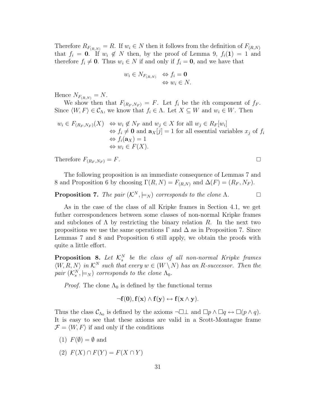Therefore  $R_{F_{(R,N)}} = R$ . If  $w_i \in N$  then it follows from the definition of  $F_{(R,N)}$ that  $f_i = 0$ . If  $w_i \notin N$  then, by the proof of Lemma 9,  $f_i(1) = 1$  and therefore  $f_i \neq \mathbf{0}$ . Thus  $w_i \in N$  if and only if  $f_i = \mathbf{0}$ , and we have that

$$
w_i \in N_{F_{(R,N)}} \Leftrightarrow f_i = \mathbf{0}
$$
  

$$
\Leftrightarrow w_i \in N.
$$

Hence  $N_{F_{(R,N)}}=N$ .

We show then that  $F_{(R_F,N_F)}=F$ . Let  $f_i$  be the *i*th component of  $f_F$ . Since  $\langle W, F \rangle \in \mathcal{C}_{\Lambda}$ , we know that  $f_i \in \Lambda$ . Let  $X \subseteq W$  and  $w_i \in W$ . Then

$$
w_i \in F_{(R_F, N_F)}(X) \Leftrightarrow w_i \notin N_F
$$
 and  $w_j \in X$  for all  $w_j \in R_F[w_i]$   
\n $\Leftrightarrow f_i \neq \mathbf{0}$  and  $\mathbf{a}_X[j] = 1$  for all essential variables  $x_j$  of  $f_i$   
\n $\Leftrightarrow f_i(\mathbf{a}_X) = 1$   
\n $\Leftrightarrow w_i \in F(X)$ .

Therefore  $F_{(R_F,N_F)}=F$ .

The following proposition is an immediate consequence of Lemmas 7 and 8 and Proposition 6 by choosing  $\Gamma(R, N) = F_{(R,N)}$  and  $\Delta(F) = (R_F, N_F)$ .

### **Proposition 7.** *The pair*  $(K^N, \models_N)$  *corresponds to the clone* Λ*.*

As in the case of the class of all Kripke frames in Section 4.1, we get futher correspondences between some classes of non-normal Kripke frames and subclones of  $\Lambda$  by restricting the binary relation R. In the next two propositions we use the same operations  $\Gamma$  and  $\Delta$  as in Proposition 7. Since Lemmas 7 and 8 and Proposition 6 still apply, we obtain the proofs with quite a little effort.

**Proposition 8.** Let  $\mathcal{K}_s^N$  be the class of all non-normal Kripke frames  $\langle W, R, N \rangle$  in  $\mathcal{K}^N$  such that every  $w \in (W \setminus N)$  has an R-successor. Then the  $pair \; (\mathcal{K}^N_s, \models_N) \; corresponds \; to \; the \; clone \; \Lambda_0.$ 

*Proof.* The clone  $\Lambda_0$  is defined by the functional terms

$$
\neg {\bf f}({\bf 0}), {\bf f}({\bf x}) \wedge {\bf f}({\bf y}) \leftrightarrow {\bf f}({\bf x} \wedge {\bf y}).
$$

Thus the class  $\mathcal{C}_{\Lambda_0}$  is defined by the axioms  $\neg \Box \bot$  and  $\Box p \land \Box q \leftrightarrow \Box (p \land q)$ . It is easy to see that these axioms are valid in a Scott-Montague frame  $\mathcal{F} = \langle W, F \rangle$  if and only if the conditions

(1) 
$$
F(\emptyset) = \emptyset
$$
 and

(2)  $F(X) \cap F(Y) = F(X \cap Y)$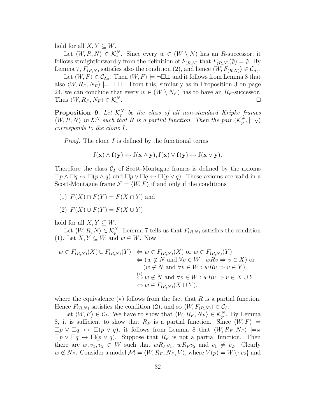hold for all  $X, Y \subseteq W$ .

Let  $\langle W, R, N \rangle \in \mathcal{K}_s^N$ . Since every  $w \in (W \setminus N)$  has an R-successor, it follows straightforwardly from the definition of  $F_{(R,N)}$  that  $F_{(R,N)}(\emptyset) = \emptyset$ . By Lemma 7,  $F_{(R,N)}$  satisfies also the condition (2), and hence  $\langle W, F_{(R,N)} \rangle \in \mathcal{C}_{\Lambda_0}$ .

Let  $\langle W, F \rangle \in \mathcal{C}_{\Lambda_0}$ . Then  $\langle W, F \rangle \models \neg \Box \bot$  and it follows from Lemma 8 that also  $\langle W, R_F, N_F \rangle \models \neg \Box \bot$ . From this, similarly as in Proposition 3 on page 24, we can conclude that every  $w \in (W \setminus N_F)$  has to have an  $R_F$ -successor. Thus  $\langle W, R_F, N_F \rangle \in \mathcal{K}_s^N$ <sup>s</sup> .

**Proposition 9.** Let  $\mathcal{K}_p^N$  be the class of all non-standard Kripke frames  $\langle W, R, N \rangle$  in  $\mathcal{K}^N$  such that R is a partial function. Then the pair  $(\mathcal{K}_p^N, \models_N)$ *corresponds to the clone* I*.*

*Proof.* The clone I is defined by the functional terms

$$
\mathbf{f}(\mathbf{x}) \wedge \mathbf{f}(\mathbf{y}) \leftrightarrow \mathbf{f}(\mathbf{x} \wedge \mathbf{y}), \mathbf{f}(\mathbf{x}) \vee \mathbf{f}(\mathbf{y}) \leftrightarrow \mathbf{f}(\mathbf{x} \vee \mathbf{y}).
$$

Therefore the class  $C_I$  of Scott-Montague frames is defined by the axioms  $\Box p \wedge \Box q \leftrightarrow \Box (p \wedge q)$  and  $\Box p \vee \Box q \leftrightarrow \Box (p \vee q)$ . These axioms are valid in a Scott-Montague frame  $\mathcal{F} = \langle W, F \rangle$  if and only if the conditions

- (1)  $F(X) \cap F(Y) = F(X \cap Y)$  and
- (2)  $F(X) \cup F(Y) = F(X \cup Y)$

hold for all  $X, Y \subseteq W$ .

Let  $\langle W, R, N \rangle \in \mathcal{K}_p^N$ . Lemma 7 tells us that  $F_{(R,N)}$  satisfies the condition (1). Let  $X, Y \subseteq W$  and  $w \in W$ . Now

$$
w \in F_{(R,N)}(X) \cup F_{(R,N)}(Y) \Leftrightarrow w \in F_{(R,N)}(X) \text{ or } w \in F_{(R,N)}(Y)
$$
  
\n
$$
\Leftrightarrow (w \notin N \text{ and } \forall v \in W : wRv \Rightarrow v \in X) \text{ or}
$$
  
\n
$$
(w \notin N \text{ and } \forall v \in W : wRv \Rightarrow v \in Y)
$$
  
\n
$$
\Leftrightarrow w \notin N \text{ and } \forall v \in W : wRv \Rightarrow v \in X \cup Y
$$
  
\n
$$
\Leftrightarrow w \in F_{(R,N)}(X \cup Y),
$$

where the equivalence  $(*)$  follows from the fact that R is a partial function. Hence  $F_{(R,N)}$  satisfies the condition (2), and so  $\langle W, F_{(R,N)} \rangle \in \mathcal{C}_I$ .

Let  $\langle W, F \rangle \in \mathcal{C}_I$ . We have to show that  $\langle W, R_F, N_F \rangle \in \mathcal{K}_p^N$ . By Lemma 8, it is sufficient to show that  $R_F$  is a partial function. Since  $\langle W, F \rangle \models$  $\Box p \lor \Box q \leftrightarrow \Box (p \lor q)$ , it follows from Lemma 8 that  $\langle W, R_F, N_F \rangle \models_N$  $\Box p \vee \Box q \leftrightarrow \Box (p \vee q)$ . Suppose that  $R_F$  is not a partial function. Then there are  $w, v_1, v_2 \in W$  such that  $wR_F v_1$ ,  $wR_F v_2$  and  $v_1 \neq v_2$ . Clearly  $w \notin N_F$ . Consider a model  $\mathcal{M} = \langle W, R_F, N_F, V \rangle$ , where  $V(p) = W \setminus \{v_2\}$  and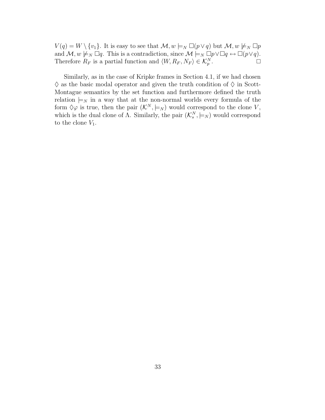$V(q) = W \setminus \{v_1\}.$  It is easy to see that  $\mathcal{M}, w \models_N \Box(p \lor q)$  but  $\mathcal{M}, w \not\models_N \Box p$ and  $M, w \not\models_N \Box q$ . This is a contradiction, since  $M \models_N \Box p \lor \Box q \leftrightarrow \Box (p \lor q)$ . Therefore  $R_F$  is a partial function and  $\langle W, R_F, N_F \rangle \in \mathcal{K}_p^N$ .

Similarly, as in the case of Kripke frames in Section 4.1, if we had chosen  $\diamondsuit$  as the basic modal operator and given the truth condition of  $\diamondsuit$  in Scott-Montague semantics by the set function and furthermore defined the truth relation  $\models_N$  in a way that at the non-normal worlds every formula of the form  $\Diamond \varphi$  is true, then the pair  $(\mathcal{K}^N, \models_N)$  would correspond to the clone V, which is the dual clone of  $\Lambda$ . Similarly, the pair  $(\mathcal{K}_{s}^{N}, \models_{N})$  would correspond to the clone  $V_1$ .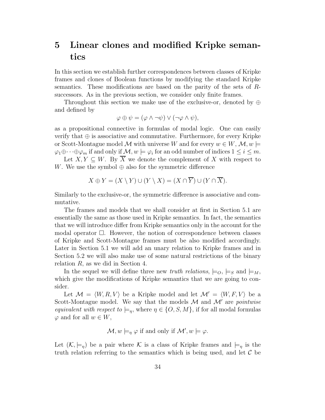## **5 Linear clones and modified Kripke semantics**

In this section we establish further correspondences between classes of Kripke frames and clones of Boolean functions by modifying the standard Kripke semantics. These modifications are based on the parity of the sets of Rsuccessors. As in the previous section, we consider only finite frames.

Throughout this section we make use of the exclusive-or, denoted by  $\oplus$ and defined by

$$
\varphi \oplus \psi = (\varphi \wedge \neg \psi) \vee (\neg \varphi \wedge \psi),
$$

as a propositional connective in formulas of modal logic. One can easily verify that  $\oplus$  is associative and commutative. Furthermore, for every Kripke or Scott-Montague model M with universe W and for every  $w \in W$ ,  $\mathcal{M}, w \models$  $\varphi_1 \oplus \cdots \oplus \varphi_m$  if and only if  $\mathcal{M}, w \models \varphi_i$  for an odd number of indices  $1 \leq i \leq m$ .

Let  $X, Y \subseteq W$ . By X we denote the complement of X with respect to W. We use the symbol  $\oplus$  also for the symmetric difference

$$
X \oplus Y = (X \setminus Y) \cup (Y \setminus X) = (X \cap \overline{Y}) \cup (Y \cap \overline{X}).
$$

Similarly to the exclusive-or, the symmetric difference is associative and commutative.

The frames and models that we shall consider at first in Section 5.1 are essentially the same as those used in Kripke semantics. In fact, the semantics that we will introduce differ from Kripke semantics only in the account for the modal operator  $\Box$ . However, the notion of correspondence between classes of Kripke and Scott-Montague frames must be also modified accordingly. Later in Section 5.1 we will add an unary relation to Kripke frames and in Section 5.2 we will also make use of some natural restrictions of the binary relation  $R$ , as we did in Section 4.

In the sequel we will define three new *truth relations*,  $\models o, \models_S$  and  $\models_M$ , which give the modifications of Kripke semantics that we are going to consider.

Let  $\mathcal{M} = \langle W, R, V \rangle$  be a Kripke model and let  $\mathcal{M}' = \langle W, F, V \rangle$  be a Scott-Montague model. We say that the models M and M' are *pointwise equivalent with respect to*  $\models_n$ , where  $\eta \in \{O, S, M\}$ , if for all modal formulas  $\varphi$  and for all  $w \in W$ ,

$$
\mathcal{M}, w \models_{\eta} \varphi
$$
 if and only if  $\mathcal{M}', w \models \varphi$ .

Let  $(\mathcal{K}, \models_{\eta})$  be a pair where  $\mathcal K$  is a class of Kripke frames and  $\models_{\eta}$  is the truth relation referring to the semantics which is being used, and let  $\mathcal C$  be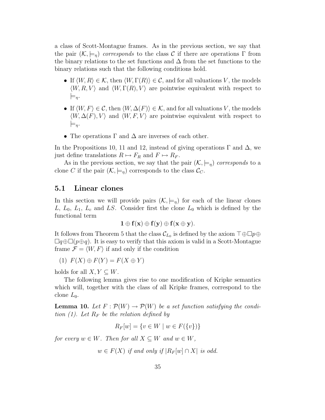a class of Scott-Montague frames. As in the previous section, we say that the pair  $(\mathcal{K}, \models_n)$  *corresponds* to the class C if there are operations  $\Gamma$  from the binary relations to the set functions and  $\Delta$  from the set functions to the binary relations such that the following conditions hold.

- If  $\langle W, R \rangle \in \mathcal{K}$ , then  $\langle W, \Gamma(R) \rangle \in \mathcal{C}$ , and for all valuations V, the models  $\langle W, R, V \rangle$  and  $\langle W, \Gamma(R), V \rangle$  are pointwise equivalent with respect to  $\models_{\eta}$ .
- If  $\langle W, F \rangle \in \mathcal{C}$ , then  $\langle W, \Delta(F) \rangle \in \mathcal{K}$ , and for all valuations V, the models  $\langle W, \Delta(F), V \rangle$  and  $\langle W, F, V \rangle$  are pointwise equivalent with respect to  $\models_{\eta}$ .
- The operations  $\Gamma$  and  $\Delta$  are inverses of each other.

In the Propositions 10, 11 and 12, instead of giving operations  $\Gamma$  and  $\Delta$ , we just define translations  $R \mapsto F_R$  and  $F \mapsto R_F$ .

As in the previous section, we say that the pair  $(\mathcal{K}, \models_n)$  corresponds to a clone C if the pair  $(\mathcal{K}, \models_{\eta})$  corresponds to the class  $\mathcal{C}_C$ .

#### **5.1 Linear clones**

In this section we will provide pairs  $(\mathcal{K}, \models_n)$  for each of the linear clones L,  $L_0$ ,  $L_1$ ,  $L_c$  and LS. Consider first the clone  $L_0$  which is defined by the functional term

$$
1 \oplus f(x) \oplus f(y) \oplus f(x \oplus y).
$$

It follows from Theorem 5 that the class  $\mathcal{C}_{L_0}$  is defined by the axiom  $\top \oplus \square p \oplus$  $\Box q \oplus \Box (p \oplus q)$ . It is easy to verify that this axiom is valid in a Scott-Montague frame  $\mathcal{F} = \langle W, F \rangle$  if and only if the condition

$$
(1) F(X) \oplus F(Y) = F(X \oplus Y)
$$

holds for all  $X, Y \subseteq W$ .

The following lemma gives rise to one modification of Kripke semantics which will, together with the class of all Kripke frames, correspond to the clone  $L_0$ .

**Lemma 10.** Let  $F: \mathcal{P}(W) \to \mathcal{P}(W)$  be a set function satisfying the condi*tion (1). Let*  $R_F$  *be the relation defined by* 

$$
R_F[w] = \{ v \in W \mid w \in F(\{v\}) \}
$$

*for every*  $w \in W$ *. Then for all*  $X \subseteq W$  *and*  $w \in W$ *,* 

 $w \in F(X)$  *if and only if*  $|R_F[w] \cap X$  *is odd.*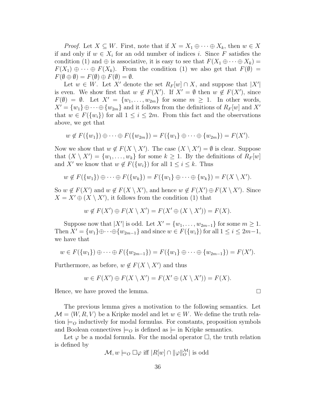*Proof.* Let  $X \subseteq W$ . First, note that if  $X = X_1 \oplus \cdots \oplus X_k$ , then  $w \in X$ if and only if  $w \in X_i$  for an odd number of indices i. Since F satisfies the condition (1) and  $\oplus$  is associative, it is easy to see that  $F(X_1 \oplus \cdots \oplus X_k) =$  $F(X_1) \oplus \cdots \oplus F(X_k)$ . From the condition (1) we also get that  $F(\emptyset) =$  $F(\emptyset \oplus \emptyset) = F(\emptyset) \oplus F(\emptyset) = \emptyset.$ 

Let  $w \in W$ . Let X' denote the set  $R_F[w] \cap X$ , and suppose that  $|X'|$ is even. We show first that  $w \notin F(X')$ . If  $X' = \emptyset$  then  $w \notin F(X')$ , since  $F(\emptyset) = \emptyset$ . Let  $X' = \{w_1, \ldots, w_{2m}\}$  for some  $m \geq 1$ . In other words,  $X' = \{w_1\} \oplus \cdots \oplus \{w_{2m}\}\$ and it follows from the definitions of  $R_F[w]$  and  $X'$ that  $w \in F({w_i})$  for all  $1 \leq i \leq 2m$ . From this fact and the observations above, we get that

$$
w \notin F({w_1}) \oplus \cdots \oplus F({w_{2m}}) = F({w_1} \oplus \cdots \oplus {w_{2m}}) = F(X').
$$

Now we show that  $w \notin F(X \setminus X')$ . The case  $(X \setminus X') = \emptyset$  is clear. Suppose that  $(X \setminus X') = \{w_1, \ldots, w_k\}$  for some  $k \geq 1$ . By the definitions of  $R_F[w]$ and X' we know that  $w \notin F({w_i})$  for all  $1 \le i \le k$ . Thus

$$
w \notin F({w_1}) \oplus \cdots \oplus F({w_k}) = F({w_1}) \oplus \cdots \oplus {w_k}) = F(X \setminus X').
$$

So  $w \notin F(X')$  and  $w \notin F(X \setminus X')$ , and hence  $w \notin F(X') \oplus F(X \setminus X')$ . Since  $X = X' \oplus (X \setminus X')$ , it follows from the condition (1) that

$$
w \notin F(X') \oplus F(X \setminus X') = F(X' \oplus (X \setminus X')) = F(X).
$$

Suppose now that  $|X'|$  is odd. Let  $X' = \{w_1, \ldots, w_{2m-1}\}$  for some  $m \ge 1$ . Then  $X' = \{w_1\} \oplus \cdots \oplus \{w_{2m-1}\}\$  and since  $w \in F(\{w_i\})$  for all  $1 \le i \le 2m-1$ , we have that

$$
w \in F({w_1}) \oplus \cdots \oplus F({w_{2m-1}}) = F({w_1} \oplus \cdots \oplus {w_{2m-1}}) = F(X').
$$

Furthermore, as before,  $w \notin F(X \setminus X')$  and thus

$$
w \in F(X') \oplus F(X \setminus X') = F(X' \oplus (X \setminus X')) = F(X).
$$

Hence, we have proved the lemma.

The previous lemma gives a motivation to the following semantics. Let  $\mathcal{M} = \langle W, R, V \rangle$  be a Kripke model and let  $w \in W$ . We define the truth relation  $\models o$  inductively for modal formulas. For constants, proposition symbols and Boolean connectives  $\models o$  is defined as  $\models$  in Kripke semantics.

Let  $\varphi$  be a modal formula. For the modal operator  $\Box$ , the truth relation is defined by

$$
\mathcal{M}, w \models_O \Box \varphi \text{ iff } |R[w] \cap ||\varphi||_O^{\mathcal{M}}| \text{ is odd}
$$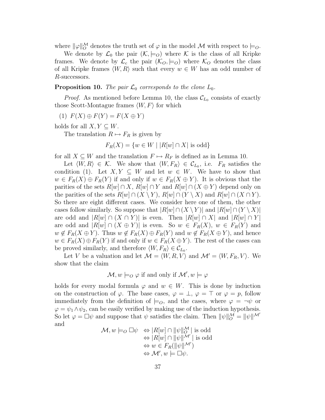where  $\|\varphi\|_O^{\mathcal{M}}$  denotes the truth set of  $\varphi$  in the model  $\mathcal M$  with respect to  $\models_O$ .

We denote by  $\mathcal{L}_0$  the pair  $(\mathcal{K}, \models_O)$  where  $\mathcal K$  is the class of all Kripke frames. We denote by  $\mathcal{L}_c$  the pair  $(\mathcal{K}_o, \models o)$  where  $\mathcal{K}_o$  denotes the class of all Kripke frames  $\langle W, R \rangle$  such that every  $w \in W$  has an odd number of R-successors.

**Proposition 10.** *The pair*  $\mathcal{L}_0$  *corresponds to the clone*  $L_0$ *.* 

*Proof.* As mentioned before Lemma 10, the class  $\mathcal{C}_{L_0}$  consists of exactly those Scott-Montague frames  $\langle W, F \rangle$  for which

$$
(1) F(X) \oplus F(Y) = F(X \oplus Y)
$$

holds for all  $X, Y \subseteq W$ .

The translation  $R \mapsto F_R$  is given by

$$
F_R(X) = \{ w \in W \mid |R[w] \cap X| \text{ is odd} \}
$$

for all  $X \subseteq W$  and the translation  $F \mapsto R_F$  is defined as in Lemma 10.

Let  $\langle W, R \rangle \in \mathcal{K}$ . We show that  $\langle W, F_R \rangle \in \mathcal{C}_{L_0}$ , i.e.  $F_R$  satisfies the condition (1). Let  $X, Y \subseteq W$  and let  $w \in W$ . We have to show that  $w \in F_R(X) \oplus F_R(Y)$  if and only if  $w \in F_R(X \oplus Y)$ . It is obvious that the parities of the sets  $R[w] \cap X$ ,  $R[w] \cap Y$  and  $R[w] \cap (X \oplus Y)$  depend only on the parities of the sets  $R[w] \cap (X \setminus Y)$ ,  $R[w] \cap (Y \setminus X)$  and  $R[w] \cap (X \cap Y)$ . So there are eight different cases. We consider here one of them, the other cases follow similarly. So suppose that  $|R[w] \cap (X \setminus Y)|$  and  $|R[w] \cap (Y \setminus X)|$ are odd and  $|R[w] \cap (X \cap Y)|$  is even. Then  $|R[w] \cap X|$  and  $|R[w] \cap Y|$ are odd and  $|R[w] \cap (X \oplus Y)|$  is even. So  $w \in F_R(X)$ ,  $w \in F_R(Y)$  and  $w \notin F_R(X \oplus Y)$ . Thus  $w \notin F_R(X) \oplus F_R(Y)$  and  $w \notin F_R(X \oplus Y)$ , and hence  $w \in F_R(X) \oplus F_R(Y)$  if and only if  $w \in F_R(X \oplus Y)$ . The rest of the cases can be proved similarly, and therefore  $\langle W, F_R \rangle \in \mathcal{C}_{L_0}$ .

Let V be a valuation and let  $\mathcal{M} = \langle W, R, V \rangle$  and  $\mathcal{M}' = \langle W, F_R, V \rangle$ . We show that the claim

 $\mathcal{M}, w \models_O \varphi$  if and only if  $\mathcal{M}', w \models \varphi$ 

holds for every modal formula  $\varphi$  and  $w \in W$ . This is done by induction on the construction of  $\varphi$ . The base cases,  $\varphi = \bot$ ,  $\varphi = \top$  or  $\varphi = p$ , follow immediately from the definition of  $\models o$ , and the cases, where  $\varphi = \neg \psi$  or  $\varphi = \psi_1 \wedge \psi_2$ , can be easily verified by making use of the induction hypothesis. So let  $\varphi = \Box \psi$  and suppose that  $\psi$  satisfies the claim. Then  $\|\psi\|_Q^{\mathcal{M}} = \|\psi\|^{\mathcal{M}'}$ and

$$
\mathcal{M}, w \models_{O} \Box \psi \Leftrightarrow |R[w] \cap ||\psi||_{O}^{\mathcal{M}} | \text{ is odd}
$$
  
\n
$$
\Leftrightarrow |R[w] \cap ||\psi||^{\mathcal{M}} | \text{ is odd}
$$
  
\n
$$
\Leftrightarrow w \in F_{R}(||\psi||^{\mathcal{M}})
$$
  
\n
$$
\Leftrightarrow \mathcal{M}', w \models \Box \psi.
$$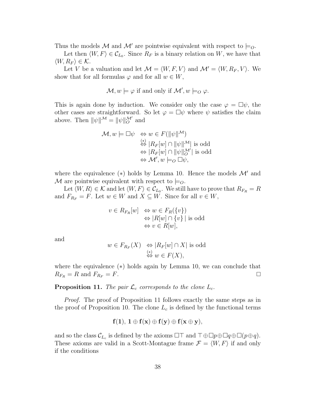Thus the models M and M' are pointwise equivalent with respect to  $\models O$ .

Let then  $\langle W, F \rangle \in \mathcal{C}_{L_0}$ . Since  $R_F$  is a binary relation on W, we have that  $\langle W, R_F \rangle \in \mathcal{K}.$ 

Let V be a valuation and let  $\mathcal{M} = \langle W, F, V \rangle$  and  $\mathcal{M}' = \langle W, R_F, V \rangle$ . We show that for all formulas  $\varphi$  and for all  $w \in W$ ,

$$
\mathcal{M}, w \models \varphi \text{ if and only if } \mathcal{M}', w \models_O \varphi.
$$

This is again done by induction. We consider only the case  $\varphi = \Box \psi$ , the other cases are straightforward. So let  $\varphi = \Box \psi$  where  $\psi$  satisfies the claim above. Then  $\|\psi\|^{M} = \|\psi\|_{O}^{M'}$  and

$$
\mathcal{M}, w \models \Box \psi \Leftrightarrow w \in F(||\psi||^{\mathcal{M}})\n\stackrel{\ast}{\Leftrightarrow} |R_F[w] \cap ||\psi||^{\mathcal{M}}| \text{ is odd}\n\Leftrightarrow |R_F[w] \cap ||\psi||^{\mathcal{M}}_{\mathcal{O}}| \text{ is odd}\n\Leftrightarrow \mathcal{M}', w \models_{\mathcal{O}} \Box \psi,
$$

where the equivalence  $(*)$  holds by Lemma 10. Hence the models  $\mathcal{M}'$  and M are pointwise equivalent with respect to  $\models O$ .

Let  $\langle W, R \rangle \in \mathcal{K}$  and let  $\langle W, F \rangle \in \mathcal{C}_{L_0}$ . We still have to prove that  $R_{F_R} = R$ and  $F_{R_F} = F$ . Let  $w \in W$  and  $X \subseteq W$ . Since for all  $v \in W$ ,

$$
v \in R_{F_R}[w] \Leftrightarrow w \in F_R(\{v\})
$$
  
\n
$$
\Leftrightarrow |R[w] \cap \{v\}| \text{ is odd}
$$
  
\n
$$
\Leftrightarrow v \in R[w],
$$

and

$$
w \in F_{R_F}(X) \iff |R_F[w] \cap X| \text{ is odd}
$$
  

$$
\overset{(*)}{\Leftrightarrow} w \in F(X),
$$

where the equivalence (∗) holds again by Lemma 10, we can conclude that  $R_{F_R} = R$  and  $F_{R_F} = F$ .

#### **Proposition 11.** *The pair*  $\mathcal{L}_c$  *corresponds to the clone*  $L_c$ *.*

*Proof.* The proof of Proposition 11 follows exactly the same steps as in the proof of Proposition 10. The clone  $L_c$  is defined by the functional terms

$$
f(1), 1 \oplus f(x) \oplus f(y) \oplus f(x \oplus y),
$$

and so the class  $\mathcal{C}_{L_c}$  is defined by the axioms  $\Box\top$  and  $\top \oplus \Box p \oplus \Box q \oplus \Box (p \oplus q)$ . These axioms are valid in a Scott-Montague frame  $\mathcal{F} = \langle W, F \rangle$  if and only if the conditions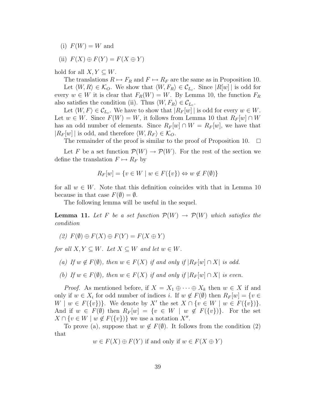(i)  $F(W) = W$  and

(ii) 
$$
F(X) \oplus F(Y) = F(X \oplus Y)
$$

hold for all  $X, Y \subseteq W$ .

The translations  $R \mapsto F_R$  and  $F \mapsto R_F$  are the same as in Proposition 10. Let  $\langle W, R \rangle \in \mathcal{K}_O$ . We show that  $\langle W, F_R \rangle \in \mathcal{C}_{L_c}$ . Since  $|R[w]|$  is odd for every  $w \in W$  it is clear that  $F_R(W) = W$ . By Lemma 10, the function  $F_R$ also satisfies the condition (ii). Thus  $\langle W, F_R \rangle \in \mathcal{C}_{L_c}$ .

Let  $\langle W, F \rangle \in \mathcal{C}_{L_c}$ . We have to show that  $|R_F[w]|$  is odd for every  $w \in W$ . Let  $w \in W$ . Since  $F(W) = W$ , it follows from Lemma 10 that  $R_F[w] \cap W$ has an odd number of elements. Since  $R_F[w] \cap W = R_F[w]$ , we have that  $|R_F[w]|$  is odd, and therefore  $\langle W, R_F \rangle \in \mathcal{K}_O$ .

The remainder of the proof is similar to the proof of Proposition 10.  $\Box$ 

Let F be a set function  $\mathcal{P}(W) \to \mathcal{P}(W)$ . For the rest of the section we define the translation  $F \mapsto R_F$  by

$$
R_F[w] = \{ v \in W \mid w \in F(\{v\}) \Leftrightarrow w \notin F(\emptyset) \}
$$

for all  $w \in W$ . Note that this definition coincides with that in Lemma 10 because in that case  $F(\emptyset) = \emptyset$ .

The following lemma will be useful in the sequel.

**Lemma 11.** Let F be a set function  $\mathcal{P}(W) \to \mathcal{P}(W)$  which satisfies the *condition*

 $(2)$   $F(\emptyset) \oplus F(X) \oplus F(Y) = F(X \oplus Y)$ 

*for all*  $X, Y \subseteq W$ *. Let*  $X \subseteq W$  *and let*  $w \in W$ *.* 

- *(a)* If  $w \notin F(\emptyset)$ *, then*  $w \in F(X)$  *if and only if*  $|R_F[w] \cap X$  *is odd.*
- *(b)* If  $w \in F(\emptyset)$ , then  $w \in F(X)$  if and only if  $|R_F[w] \cap X$  is even.

*Proof.* As mentioned before, if  $X = X_1 \oplus \cdots \oplus X_k$  then  $w \in X$  if and only if  $w \in X_i$  for odd number of indices i. If  $w \notin F(\emptyset)$  then  $R_F[w] = \{v \in$  $W \mid w \in F({v})$ . We denote by X' the set  $X \cap \{v \in W \mid w \in F({v})\}$ . And if  $w \in F(\emptyset)$  then  $R_F[w] = \{v \in W \mid w \notin F(\{v\})\}.$  For the set  $X \cap \{v \in W \mid w \notin F(\{v\})\}$  we use a notation  $X''$ .

To prove (a), suppose that  $w \notin F(\emptyset)$ . It follows from the condition (2) that

 $w \in F(X) \oplus F(Y)$  if and only if  $w \in F(X \oplus Y)$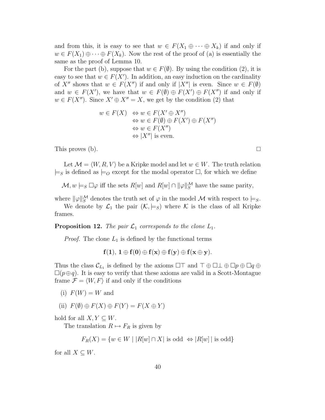and from this, it is easy to see that  $w \in F(X_1 \oplus \cdots \oplus X_k)$  if and only if  $w \in F(X_1) \oplus \cdots \oplus F(X_k)$ . Now the rest of the proof of (a) is essentially the same as the proof of Lemma 10.

For the part (b), suppose that  $w \in F(\emptyset)$ . By using the condition (2), it is easy to see that  $w \in F(X')$ . In addition, an easy induction on the cardinality of X'' shows that  $w \in F(X'')$  if and only if  $|X''|$  is even. Since  $w \in F(\emptyset)$ and  $w \in F(X')$ , we have that  $w \in F(\emptyset) \oplus F(X') \oplus F(X'')$  if and only if  $w \in F(X'')$ . Since  $X' \oplus X'' = X$ , we get by the condition (2) that

> $w \in F(X) \Leftrightarrow w \in F(X' \oplus X'')$  $\Leftrightarrow w \in F(\emptyset) \oplus F(X') \oplus F(X'')$  $\Leftrightarrow w \in F(X'')$  $\Leftrightarrow$  |X''| is even.

This proves (b).  $\square$ 

Let  $\mathcal{M} = \langle W, R, V \rangle$  be a Kripke model and let  $w \in W$ . The truth relation  $\models_S$  is defined as  $\models_{\mathcal{O}}$  except for the modal operator  $\Box$ , for which we define

 $\mathcal{M}, w \models_S \Box \varphi$  iff the sets  $R[w]$  and  $R[w] \cap ||\varphi||_S^{\mathcal{M}}$  have the same parity,

where  $\|\varphi\|_{S}^{\mathcal{M}}$  denotes the truth set of  $\varphi$  in the model  $\mathcal M$  with respect to  $\models_{S}$ . We denote by  $\mathcal{L}_1$  the pair  $(\mathcal{K}, \models_S)$  where  $\mathcal K$  is the class of all Kripke frames.

**Proposition 12.** *The pair*  $\mathcal{L}_1$  *corresponds to the clone*  $L_1$ *.* 

*Proof.* The clone  $L_1$  is defined by the functional terms

 $f(1), 1 \oplus f(0) \oplus f(x) \oplus f(y) \oplus f(x \oplus y).$ 

Thus the class  $\mathcal{C}_{L_1}$  is defined by the axioms  $\Box \top$  and  $\top \oplus \Box \bot \oplus \Box p \oplus \Box q \oplus$  $\Box(p \oplus q)$ . It is easy to verify that these axioms are valid in a Scott-Montague frame  $\mathcal{F} = \langle W, F \rangle$  if and only if the conditions

- (i)  $F(W) = W$  and
- (ii)  $F(\emptyset) \oplus F(X) \oplus F(Y) = F(X \oplus Y)$

hold for all  $X, Y \subseteq W$ .

The translation  $R \mapsto F_R$  is given by

$$
F_R(X) = \{ w \in W \mid |R[w] \cap X| \text{ is odd } \Leftrightarrow |R[w]| \text{ is odd} \}
$$

for all  $X \subseteq W$ .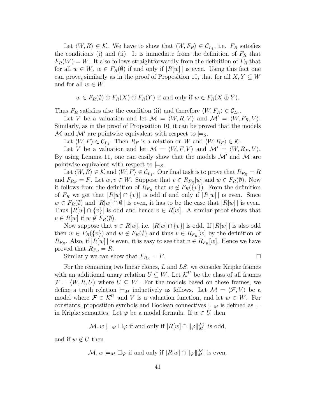Let  $\langle W, R \rangle \in \mathcal{K}$ . We have to show that  $\langle W, F_R \rangle \in \mathcal{C}_{L_1}$ , i.e.  $F_R$  satisfies the conditions (i) and (ii). It is immediate from the definition of  $F_R$  that  $F_R(W) = W$ . It also follows straightforwardly from the definition of  $F_R$  that for all  $w \in W$ ,  $w \in F_R(\emptyset)$  if and only if  $|R[w]|$  is even. Using this fact one can prove, similarly as in the proof of Proposition 10, that for all  $X, Y \subseteq W$ and for all  $w \in W$ ,

$$
w \in F_R(\emptyset) \oplus F_R(X) \oplus F_R(Y)
$$
 if and only if  $w \in F_R(X \oplus Y)$ .

Thus  $F_R$  satisfies also the condition (ii) and therefore  $\langle W, F_R \rangle \in \mathcal{C}_{L_1}$ .

Let V be a valuation and let  $\mathcal{M} = \langle W, R, V \rangle$  and  $\mathcal{M}' = \langle W, F_R, V \rangle$ . Similarly, as in the proof of Proposition 10, it can be proved that the models M and M' are pointwise equivalent with respect to  $\models$ <sub>S</sub>.

Let  $\langle W, F \rangle \in \mathcal{C}_{L_1}$ . Then  $R_F$  is a relation on W and  $\langle W, R_F \rangle \in \mathcal{K}$ .

Let V be a valuation and let  $\mathcal{M} = \langle W, F, V \rangle$  and  $\mathcal{M}' = \langle W, R_F, V \rangle$ . By using Lemma 11, one can easily show that the models  $\mathcal{M}'$  and  $\mathcal{M}$  are pointwise equivalent with respect to  $\models$ s.

Let  $\langle W, R \rangle \in \mathcal{K}$  and  $\langle W, F \rangle \in \mathcal{C}_{L_1}$ . Our final task is to prove that  $R_{F_R} = R$ and  $F_{R_F} = F$ . Let  $w, v \in W$ . Suppose that  $v \in R_{F_R}[w]$  and  $w \in F_R(\emptyset)$ . Now it follows from the definition of  $R_{F_R}$  that  $w \notin F_R({v})$ . From the definition of  $F_R$  we get that  $|R[w] \cap \{v\}|$  is odd if and only if  $|R[w]|$  is even. Since  $w \in F_R(\emptyset)$  and  $|R[w] \cap \emptyset|$  is even, it has to be the case that  $|R[w]|$  is even. Thus  $|R[w] \cap \{v\}$  is odd and hence  $v \in R[w]$ . A similar proof shows that  $v \in R[w]$  if  $w \notin F_R(\emptyset)$ .

Now suppose that  $v \in R[w]$ , i.e.  $|R[w] \cap \{v\}|$  is odd. If  $|R[w]|$  is also odd then  $w \in F_R({v})$  and  $w \notin F_R(\emptyset)$  and thus  $v \in R_{F_R}[w]$  by the definition of  $R_{F_R}$ . Also, if  $|R[w]|$  is even, it is easy to see that  $v \in R_{F_R}[w]$ . Hence we have proved that  $R_{F_R} = R$ .

Similarly we can show that  $F_{R_F} = F$ .

For the remaining two linear clones,  $L$  and  $LS$ , we consider Kripke frames with an additional unary relation  $U \subseteq W$ . Let  $\mathcal{K}^U$  be the class of all frames  $\mathcal{F} = \langle W, R, U \rangle$  where  $U \subseteq W$ . For the models based on these frames, we define a truth relation  $\models_M$  inductively as follows. Let  $\mathcal{M} = \langle \mathcal{F}, V \rangle$  be a model where  $\mathcal{F} \in \mathcal{K}^U$  and V is a valuation function, and let  $w \in W$ . For constants, proposition symbols and Boolean connectives  $\models_M$  is defined as  $\models$ in Kripke semantics. Let  $\varphi$  be a modal formula. If  $w \in U$  then

$$
\mathcal{M}, w \models_M \Box \varphi \text{ if and only if } |R[w] \cap ||\varphi||^{\mathcal{M}}_{M}| \text{ is odd,}
$$

and if  $w \notin U$  then

$$
\mathcal{M}, w \models_M \Box \varphi
$$
 if and only if  $|R[w] \cap ||\varphi||_M^{\mathcal{M}}$  is even.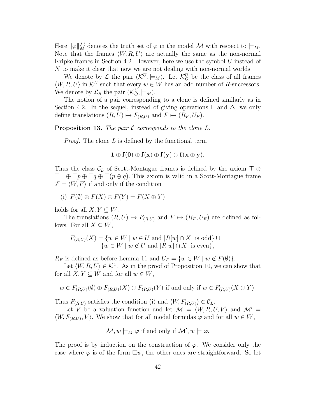Here  $\|\varphi\|_{M}^{\mathcal{M}}$  denotes the truth set of  $\varphi$  in the model  $\mathcal M$  with respect to  $\models_M$ . Note that the frames  $\langle W, R, U \rangle$  are actually the same as the non-normal Kripke frames in Section 4.2. However, here we use the symbol  $U$  instead of N to make it clear that now we are not dealing with non-normal worlds.

We denote by  $\mathcal L$  the pair  $(\mathcal K^U, \models_M)$ . Let  $\mathcal K_O^U$  be the class of all frames  $\langle W, R, U \rangle$  in  $\mathcal{K}^U$  such that every  $w \in W$  has an odd number of R-successors. We denote by  $\mathcal{L}_S$  the pair  $(\mathcal{K}_O^U, \models_M)$ .

The notion of a pair corresponding to a clone is defined similarly as in Section 4.2. In the sequel, instead of giving operations  $\Gamma$  and  $\Delta$ , we only define translations  $(R, U) \mapsto F_{(R, U)}$  and  $F \mapsto (R_F, U_F)$ .

**Proposition 13.** *The pair* L *corresponds to the clone* L*.*

*Proof.* The clone L is defined by the functional term

$$
1 \oplus f(0) \oplus f(x) \oplus f(y) \oplus f(x \oplus y).
$$

Thus the class  $\mathcal{C}_L$  of Scott-Montague frames is defined by the axiom  $\top \oplus$  $\Box \bot \oplus \Box p \oplus \Box q \oplus \Box (p \oplus q)$ . This axiom is valid in a Scott-Montague frame  $\mathcal{F} = \langle W, F \rangle$  if and only if the condition

(i)  $F(\emptyset) \oplus F(X) \oplus F(Y) = F(X \oplus Y)$ 

holds for all  $X, Y \subseteq W$ .

The translations  $(R, U) \mapsto F_{(R, U)}$  and  $F \mapsto (R_F, U_F)$  are defined as follows. For all  $X \subseteq W$ ,

$$
F_{(R,U)}(X) = \{ w \in W \mid w \in U \text{ and } |R[w] \cap X| \text{ is odd} \} \cup
$$
  

$$
\{ w \in W \mid w \notin U \text{ and } |R[w] \cap X| \text{ is even} \},
$$

 $R_F$  is defined as before Lemma 11 and  $U_F = \{w \in W \mid w \notin F(\emptyset)\}.$ 

Let  $\langle W, R, U \rangle \in \mathcal{K}^U$ . As in the proof of Proposition 10, we can show that for all  $X, Y \subseteq W$  and for all  $w \in W$ ,

$$
w \in F_{(R,U)}(\emptyset) \oplus F_{(R,U)}(X) \oplus F_{(R,U)}(Y)
$$
 if and only if  $w \in F_{(R,U)}(X \oplus Y)$ .

Thus  $F_{(R,U)}$  satisfies the condition (i) and  $\langle W, F_{(R,U)} \rangle \in \mathcal{C}_L$ .

Let V be a valuation function and let  $\mathcal{M} = \langle W, R, U, V \rangle$  and  $\mathcal{M}' =$  $\langle W, F_{(R,U)}, V \rangle$ . We show that for all modal formulas  $\varphi$  and for all  $w \in W$ ,

$$
\mathcal{M}, w \models_M \varphi \text{ if and only if } \mathcal{M}', w \models \varphi.
$$

The proof is by induction on the construction of  $\varphi$ . We consider only the case where  $\varphi$  is of the form  $\Box \psi$ , the other ones are straightforward. So let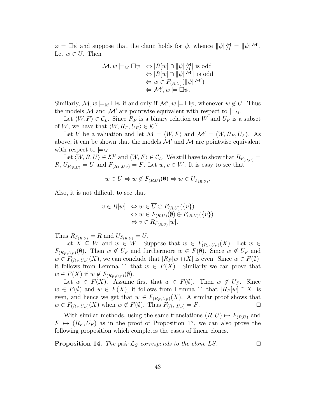$\varphi = \Box \psi$  and suppose that the claim holds for  $\psi$ , whence  $\|\psi\|_{M}^{\mathcal{M}} = \|\psi\|^{\mathcal{M}'}$ . Let  $w \in U$ . Then

$$
\mathcal{M}, w \models_M \Box \psi \iff |R[w] \cap ||\psi||_M^{\mathcal{M}}| \text{ is odd}
$$
  
\n
$$
\Leftrightarrow |R[w] \cap ||\psi||^{\mathcal{M}}| \text{ is odd}
$$
  
\n
$$
\Leftrightarrow w \in F_{(R,U)}(||\psi||^{\mathcal{M}'})
$$
  
\n
$$
\Leftrightarrow \mathcal{M}', w \models \Box \psi.
$$

Similarly,  $\mathcal{M}, w \models_M \Box \psi$  if and only if  $\mathcal{M}', w \models \Box \psi$ , whenever  $w \notin U$ . Thus the models M and M' are pointwise equivalent with respect to  $\models_M$ .

Let  $\langle W, F \rangle \in \mathcal{C}_L$ . Since  $R_F$  is a binary relation on W and  $U_F$  is a subset of W, we have that  $\langle W, R_F, U_F \rangle \in \mathcal{K}^U$ .

Let V be a valuation and let  $\mathcal{M} = \langle W, F \rangle$  and  $\mathcal{M}' = \langle W, R_F, U_F \rangle$ . As above, it can be shown that the models  $\mathcal{M}'$  and  $\mathcal{M}$  are pointwise equivalent with respect to  $\models_M$ .

Let  $\langle W, R, U \rangle \in \mathcal{K}^U$  and  $\langle W, F \rangle \in \mathcal{C}_L$ . We still have to show that  $R_{F_{(R,U)}} =$  $R, U_{F(R,U)} = U$  and  $F_{(R_F, U_F)} = F$ . Let  $w, v \in W$ . It is easy to see that

$$
w \in U \Leftrightarrow w \notin F_{(R,U)}(\emptyset) \Leftrightarrow w \in U_{F_{(R,U)}}.
$$

Also, it is not difficult to see that

$$
v \in R[w] \Leftrightarrow w \in \overline{U} \oplus F_{(R,U)}(\{v\})
$$
  
\n
$$
\Leftrightarrow w \in F_{(R,U)}(\emptyset) \oplus F_{(R,U)}(\{v\})
$$
  
\n
$$
\Leftrightarrow v \in R_{F_{(R,U)}}[w].
$$

Thus  $R_{F_{(R,U)}} = R$  and  $U_{F_{(R,U)}} = U$ .

Let  $\dot{X} \subseteq W$  and  $w \in W$ . Suppose that  $w \in F_{(R_F, U_F)}(X)$ . Let  $w \in$  $F_{(R_F, U_F)}(\emptyset)$ . Then  $w \notin U_F$  and furthermore  $w \in F(\emptyset)$ . Since  $w \notin U_F$  and  $w \in F_{(R_F, U_F)}(X)$ , we can conclude that  $|R_F[w] \cap X|$  is even. Since  $w \in F(\emptyset)$ , it follows from Lemma 11 that  $w \in F(X)$ . Similarly we can prove that  $w \in F(X)$  if  $w \notin F_{(R_F, U_F)}(\emptyset)$ .

Let  $w \in F(X)$ . Assume first that  $w \in F(\emptyset)$ . Then  $w \notin U_F$ . Since  $w \in F(\emptyset)$  and  $w \in F(X)$ , it follows from Lemma 11 that  $|R_F[w] \cap X|$  is even, and hence we get that  $w \in F_{(R_F, U_F)}(X)$ . A similar proof shows that  $w \in F_{(R_F, U_F)}(X)$  when  $w \notin F(\emptyset)$ . Thus  $F_{(R_F, U_F)} = F$ .  $w \in F_{(R_F, U_F)}(X)$  when  $w \notin F(\emptyset)$ . Thus  $F_{(R_F, U_F)} = F$ .

With similar methods, using the same translations  $(R, U) \mapsto F_{(R,U)}$  and  $F \mapsto (R_F, U_F)$  as in the proof of Proposition 13, we can also prove the following proposition which completes the cases of linear clones.

**Proposition 14.** The pair  $\mathcal{L}_S$  corresponds to the clone LS.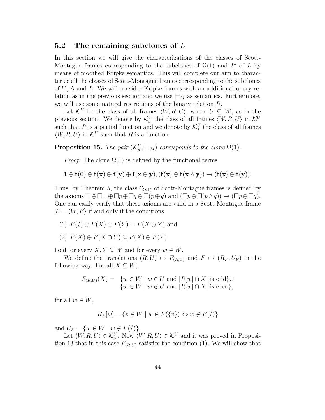#### **5.2 The remaining subclones of** L

In this section we will give the characterizations of the classes of Scott-Montague frames corresponding to the subclones of  $\Omega(1)$  and  $I^*$  of L by means of modified Kripke semantics. This will complete our aim to characterize all the classes of Scott-Montague frames corresponding to the subclones of  $V$ ,  $\Lambda$  and  $L$ . We will consider Kripke frames with an additional unary relation as in the previous section and we use  $\models_M$  as semantics. Furthermore, we will use some natural restrictions of the binary relation R.

Let  $\mathcal{K}^U$  be the class of all frames  $\langle W, R, U \rangle$ , where  $U \subseteq W$ , as in the previous section. We denote by  $\mathcal{K}_p^U$  the class of all frames  $\langle W, R, U \rangle$  in  $\mathcal{K}^U$ such that R is a partial function and we denote by  $\mathcal{K}_f^U$  the class of all frames  $\langle W, R, U \rangle$  in  $\mathcal{K}^U$  such that R is a function.

**Proposition 15.** *The pair*  $(\mathcal{K}_p^U, \models_M)$  *corresponds to the clone*  $\Omega(1)$ *.* 

*Proof.* The clone  $\Omega(1)$  is defined by the functional terms

$$
1 \oplus f(0) \oplus f(x) \oplus f(y) \oplus f(x \oplus y), (f(x) \oplus f(x \wedge y)) \rightarrow (f(x) \oplus f(y)).
$$

Thus, by Theorem 5, the class  $\mathcal{C}_{\Omega(1)}$  of Scott-Montague frames is defined by the axioms  $\top \oplus \square \perp \oplus \square p \oplus \square q \oplus \square (p \oplus q)$  and  $(\square p \oplus \square (p \wedge q)) \rightarrow (\square p \oplus \square q)$ . One can easily verify that these axioms are valid in a Scott-Montague frame  $\mathcal{F} = \langle W, F \rangle$  if and only if the conditions

- (1)  $F(\emptyset) \oplus F(X) \oplus F(Y) = F(X \oplus Y)$  and
- (2)  $F(X) \oplus F(X \cap Y) \subseteq F(X) \oplus F(Y)$

hold for every  $X, Y \subseteq W$  and for every  $w \in W$ .

We define the translations  $(R, U) \mapsto F_{(R, U)}$  and  $F \mapsto (R_F, U_F)$  in the following way. For all  $X \subseteq W$ ,

$$
F_{(R,U)}(X) = \{ w \in W \mid w \in U \text{ and } |R[w] \cap X| \text{ is odd} \} \cup
$$
  

$$
\{ w \in W \mid w \notin U \text{ and } |R[w] \cap X| \text{ is even} \},
$$

for all  $w \in W$ ,

$$
R_F[w] = \{ v \in W \mid w \in F(\{v\}) \Leftrightarrow w \notin F(\emptyset) \}
$$

and  $U_F = \{w \in W \mid w \notin F(\emptyset)\}.$ 

Let  $\langle W, R, U \rangle \in \mathcal{K}_p^U$ . Now  $\langle W, R, U \rangle \in \mathcal{K}^U$  and it was proved in Proposition 13 that in this case  $F_{(R,U)}$  satisfies the condition (1). We will show that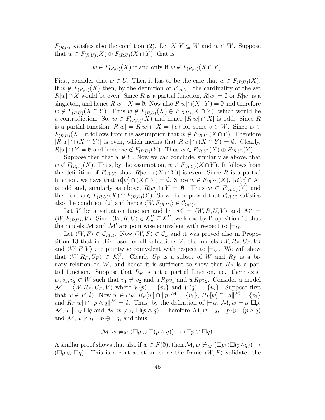$F_{(R,U)}$  satisfies also the condition (2). Let  $X, Y \subseteq W$  and  $w \in W$ . Suppose that  $w \in F_{(R,U)}(X) \oplus F_{(R,U)}(X \cap Y)$ , that is

$$
w \in F_{(R,U)}(X)
$$
 if and only if  $w \notin F_{(R,U)}(X \cap Y)$ .

First, consider that  $w \in U$ . Then it has to be the case that  $w \in F_{(R,U)}(X)$ . If  $w \notin F_{(R,U)}(X)$  then, by the definition of  $F_{(R,U)}$ , the cardinality of the set  $R[w] \cap X$  would be even. Since R is a partial function,  $R[w] = \emptyset$  or  $R[w]$  is a singleton, and hence  $R[w] \cap X = \emptyset$ . Now also  $R[w] \cap (X \cap Y) = \emptyset$  and therefore  $w \notin F_{(R,U)}(X \cap Y)$ . Thus  $w \notin F_{(R,U)}(X) \oplus F_{(R,U)}(X \cap Y)$ , which would be a contradiction. So,  $w \in F_{(R,U)}(X)$  and hence  $|R[w] \cap X|$  is odd. Since R is a partial function,  $R[w] = R[w] \cap X = \{v\}$  for some  $v \in W$ . Since  $w \in$  $F_{(R,U)}(X)$ , it follows from the assumption that  $w \notin F_{(R,U)}(X \cap Y)$ . Therefore  $|R[w] \cap (X \cap Y)|$  is even, which means that  $R[w] \cap (X \cap Y) = \emptyset$ . Clearly,  $R[w] \cap Y = \emptyset$  and hence  $w \notin F_{(R,U)}(Y)$ . Thus  $w \in F_{(R,U)}(X) \oplus F_{(R,U)}(Y)$ .

Suppose then that  $w \notin U$ . Now we can conclude, similarly as above, that  $w \notin F_{(R,U)}(X)$ . Thus, by the assumption,  $w \in F_{(R,U)}(X \cap Y)$ . It follows from the definition of  $F_{(R,U)}$  that  $|R[w] \cap (X \cap Y)|$  is even. Since R is a partial function, we have that  $R[w] \cap (X \cap Y) = \emptyset$ . Since  $w \notin F_{(R,U)}(X), |R[w] \cap X|$ is odd and, similarly as above,  $R[w] \cap Y = \emptyset$ . Thus  $w \in F_{(R,U)}(Y)$  and therefore  $w \in F_{(R,U)}(X) \oplus F_{(R,U)}(Y)$ . So we have proved that  $F_{(R,U)}$  satisfies also the condition (2) and hence  $\langle W, F_{(R,U)} \rangle \in C_{\Omega(1)}$ .

Let V be a valuation function and let  $\mathcal{M} = \langle W, R, U, V \rangle$  and  $\mathcal{M}' =$  $\langle W, F_{(R,U)}, V \rangle$ . Since  $\langle W, R, U \rangle \in \mathcal{K}_p^U \subseteq \mathcal{K}^U$ , we know by Proposition 13 that the models M and M' are pointwise equivalent with respect to  $\models_M$ .

Let  $\langle W, F \rangle \in \mathcal{C}_{\Omega(1)}$ . Now  $\langle W, F \rangle \in \mathcal{C}_L$  and it was proved also in Proposition 13 that in this case, for all valuations V, the models  $\langle W, R_F, U_F, V \rangle$ and  $\langle W, F, V \rangle$  are pointwise equivalent with respect to  $\models_M$ . We will show that  $\langle W, R_F, U_F \rangle \in \mathcal{K}_p^U$ . Clearly  $U_F$  is a subset of W and  $R_F$  is a binary relation on  $W$ , and hence it is sufficient to show that  $R_F$  is a partial function. Suppose that  $R_F$  is not a partial function, i.e. there exist  $w, v_1, v_2 \in W$  such that  $v_1 \neq v_2$  and  $wR_F v_1$  and  $wR_F v_2$ . Consider a model  $\mathcal{M} = \langle W, R_F, U_F, V \rangle$  where  $V(p) = \{v_1\}$  and  $V(q) = \{v_2\}$ . Suppose first that  $w \notin F(\emptyset)$ . Now  $w \in U_F$ ,  $R_F[w] \cap ||p||^{\mathcal{M}} = \{v_1\}$ ,  $R_F[w] \cap ||q||^{\mathcal{M}} = \{v_2\}$ and  $R_F[w] \cap ||p \wedge q||^{\mathcal{M}} = \emptyset$ . Thus, by the definition of  $\models_M$ ,  $\mathcal{M}, w \models_M \Box p$ ,  $\mathcal{M}, w \models_M \Box q$  and  $\mathcal{M}, w \not\models_M \Box (p \land q)$ . Therefore  $\mathcal{M}, w \models_M \Box p \oplus \Box (p \land q)$ and  $\mathcal{M}, w \not\models_M \Box p \oplus \Box q$ , and thus

$$
\mathcal{M}, w \not\models_M (\Box p \oplus \Box (p \land q)) \to (\Box p \oplus \Box q).
$$

A similar proof shows that also if  $w \in F(\emptyset)$ , then  $\mathcal{M}, w \not\models_M (\Box p \oplus \Box (p \land q)) \rightarrow$  $(\Box p \oplus \Box q)$ . This is a contradiction, since the frame  $\langle W, F \rangle$  validates the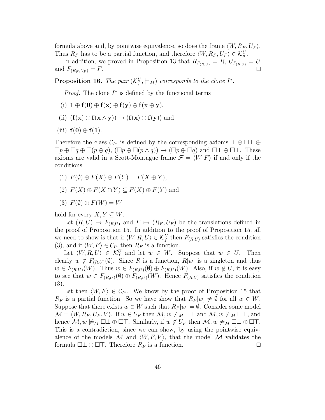formula above and, by pointwise equivalence, so does the frame  $\langle W, R_F, U_F \rangle$ . Thus  $R_F$  has to be a partial function, and therefore  $\langle W, R_F, U_F \rangle \in \mathcal{K}_p^U$ .

In addition, we proved in Proposition 13 that  $R_{F_{(R,U)}} = R$ ,  $U_{F_{(R,U)}} = U$ and  $F_{(R_F, U_F)} = F$ .

**Proposition 16.** The pair  $(\mathcal{K}^U_f, \models_M)$  corresponds to the clone  $I^*$ .

*Proof.* The clone  $I^*$  is defined by the functional terms

- $(i)$   $\mathbf{1} \oplus \mathbf{f}(\mathbf{0}) \oplus \mathbf{f}(\mathbf{x}) \oplus \mathbf{f}(\mathbf{y}) \oplus \mathbf{f}(\mathbf{x} \oplus \mathbf{y}),$
- (ii)  $(f(x) \oplus f(x \wedge y)) \rightarrow (f(x) \oplus f(y))$  and
- (iii) **f**(**0**) ⊕ **f**(**1**).

Therefore the class  $\mathcal{C}_{I^*}$  is defined by the corresponding axioms  $\top \oplus \square \bot \oplus$  $\Box p \oplus \Box q \oplus \Box (p \oplus q), (\Box p \oplus \Box (p \wedge q)) \rightarrow (\Box p \oplus \Box q)$  and  $\Box \bot \oplus \Box \top$ . These axioms are valid in a Scott-Montague frame  $\mathcal{F} = \langle W, F \rangle$  if and only if the conditions

- (1)  $F(\emptyset) \oplus F(X) \oplus F(Y) = F(X \oplus Y),$
- (2)  $F(X) \oplus F(X \cap Y) \subseteq F(X) \oplus F(Y)$  and
- $(3)$   $F(\emptyset) \oplus F(W) = W$

hold for every  $X, Y \subseteq W$ .

Let  $(R, U) \mapsto F_{(R,U)}$  and  $F \mapsto (R_F, U_F)$  be the translations defined in the proof of Proposition 15. In addition to the proof of Proposition 15, all we need to show is that if  $\langle W, R, U \rangle \in \mathcal{K}_f^U$  then  $F_{(R,U)}$  satisfies the condition (3), and if  $\langle W, F \rangle \in C_{I^*}$  then  $R_F$  is a function.

Let  $\langle W, R, U \rangle \in \mathcal{K}^U_f$  and let  $w \in W$ . Suppose that  $w \in U$ . Then clearly  $w \notin F_{(R,U)}(\emptyset)$ . Since R is a function,  $R[w]$  is a singleton and thus  $w \in F_{(R,U)}(W)$ . Thus  $w \in F_{(R,U)}(\emptyset) \oplus F_{(R,U)}(W)$ . Also, if  $w \notin U$ , it is easy to see that  $w \in F_{(R,U)}(\emptyset) \oplus F_{(R,U)}(W)$ . Hence  $F_{(R,U)}$  satisfies the condition (3).

Let then  $\langle W, F \rangle \in \mathcal{C}_{I^*}$ . We know by the proof of Proposition 15 that  $R_F$  is a partial function. So we have show that  $R_F[w] \neq \emptyset$  for all  $w \in W$ . Suppose that there exists  $w \in W$  such that  $R_F[w] = \emptyset$ . Consider some model  $\mathcal{M} = \langle W, R_F, U_F, V \rangle$ . If  $w \in U_F$  then  $\mathcal{M}, w \not\models_M \Box \bot$  and  $\mathcal{M}, w \not\models_M \Box \top$ , and hence  $\mathcal{M}, w \not\models_M \Box \bot \oplus \Box \top$ . Similarly, if  $w \notin U_F$  then  $\mathcal{M}, w \not\models_M \Box \bot \oplus \Box \top$ . This is a contradiction, since we can show, by using the pointwise equivalence of the models M and  $\langle W, F, V \rangle$ , that the model M validates the formula  $\Box \bot \oplus \Box \top$ . Therefore  $R_F$  is a function.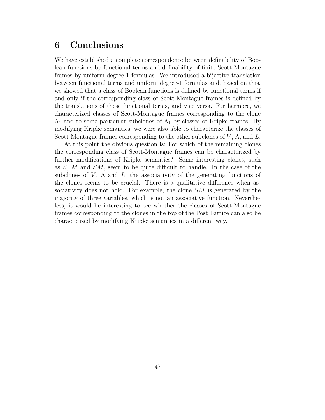### **6 Conclusions**

We have established a complete correspondence between definability of Boolean functions by functional terms and definability of finite Scott-Montague frames by uniform degree-1 formulas. We introduced a bijective translation between functional terms and uniform degree-1 formulas and, based on this, we showed that a class of Boolean functions is defined by functional terms if and only if the corresponding class of Scott-Montague frames is defined by the translations of these functional terms, and vice versa. Furthermore, we characterized classes of Scott-Montague frames corresponding to the clone  $\Lambda_1$  and to some particular subclones of  $\Lambda_1$  by classes of Kripke frames. By modifying Kripke semantics, we were also able to characterize the classes of Scott-Montague frames corresponding to the other subclones of  $V$ ,  $\Lambda$ , and  $L$ .

At this point the obvious question is: For which of the remaining clones the corresponding class of Scott-Montague frames can be characterized by further modifications of Kripke semantics? Some interesting clones, such as S, M and SM, seem to be quite difficult to handle. In the case of the subclones of  $V$ ,  $\Lambda$  and  $L$ , the associativity of the generating functions of the clones seems to be crucial. There is a qualitative difference when associativity does not hold. For example, the clone SM is generated by the majority of three variables, which is not an associative function. Nevertheless, it would be interesting to see whether the classes of Scott-Montague frames corresponding to the clones in the top of the Post Lattice can also be characterized by modifying Kripke semantics in a different way.